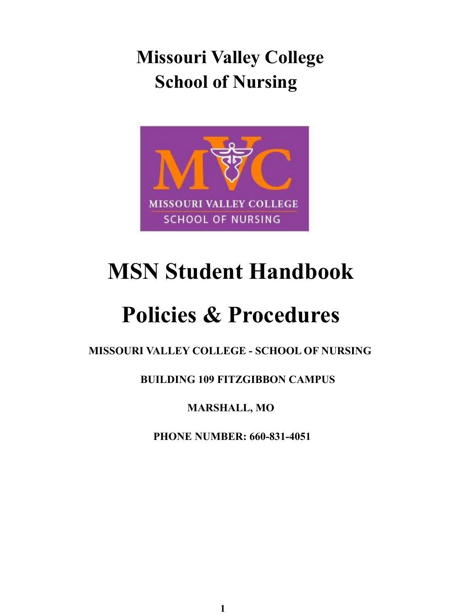**Missouri Valley College School of Nursing**



# **MSN Student Handbook**

# **Policies & Procedures**

**MISSOURI VALLEY COLLEGE - SCHOOL OF NURSING**

**BUILDING 109 FITZGIBBON CAMPUS**

**MARSHALL, MO**

**PHONE NUMBER: 660-831-4051**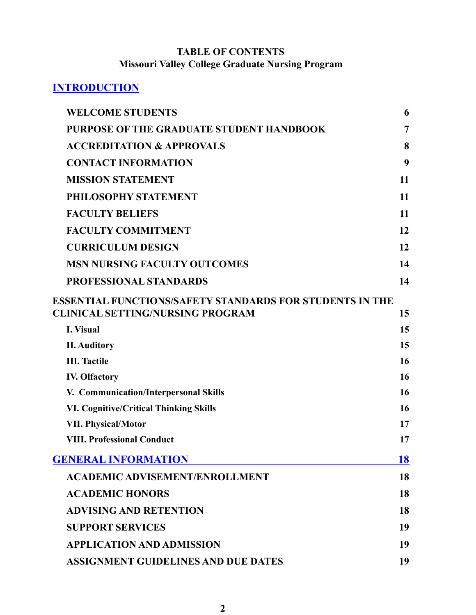# **TABLE OF CONTENTS Missouri Valley College Graduate Nursing Program**

# **INTRODUCTION**

| <b>WELCOME STUDENTS</b>                                                                             | 6  |
|-----------------------------------------------------------------------------------------------------|----|
| <b>PURPOSE OF THE GRADUATE STUDENT HANDBOOK</b>                                                     | 7  |
| <b>ACCREDITATION &amp; APPROVALS</b>                                                                | 8  |
| <b>CONTACT INFORMATION</b>                                                                          | 9  |
| <b>MISSION STATEMENT</b>                                                                            | 11 |
| PHILOSOPHY STATEMENT                                                                                | 11 |
| <b>FACULTY BELIEFS</b>                                                                              | 11 |
| <b>FACULTY COMMITMENT</b>                                                                           | 12 |
| <b>CURRICULUM DESIGN</b>                                                                            | 12 |
| <b>MSN NURSING FACULTY OUTCOMES</b>                                                                 | 14 |
| <b>PROFESSIONAL STANDARDS</b>                                                                       | 14 |
| ESSENTIAL FUNCTIONS/SAFETY STANDARDS FOR STUDENTS IN THE<br><b>CLINICAL SETTING/NURSING PROGRAM</b> | 15 |
| <b>I.</b> Visual                                                                                    | 15 |
| <b>II.</b> Auditory                                                                                 | 15 |
| <b>III.</b> Tactile                                                                                 | 16 |
| <b>IV. Olfactory</b>                                                                                | 16 |
| V. Communication/Interpersonal Skills                                                               | 16 |
| <b>VI. Cognitive/Critical Thinking Skills</b>                                                       | 16 |
| <b>VII. Physical/Motor</b>                                                                          | 17 |
| <b>VIII. Professional Conduct</b>                                                                   | 17 |
| <b>GENERAL INFORMATION</b>                                                                          | 18 |
| <b>ACADEMIC ADVISEMENT/ENROLLMENT</b>                                                               | 18 |
| <b>ACADEMIC HONORS</b>                                                                              | 18 |
| <b>ADVISING AND RETENTION</b>                                                                       | 18 |
| <b>SUPPORT SERVICES</b>                                                                             | 19 |
| <b>APPLICATION AND ADMISSION</b>                                                                    | 19 |
| <b>ASSIGNMENT GUIDELINES AND DUE DATES</b>                                                          | 19 |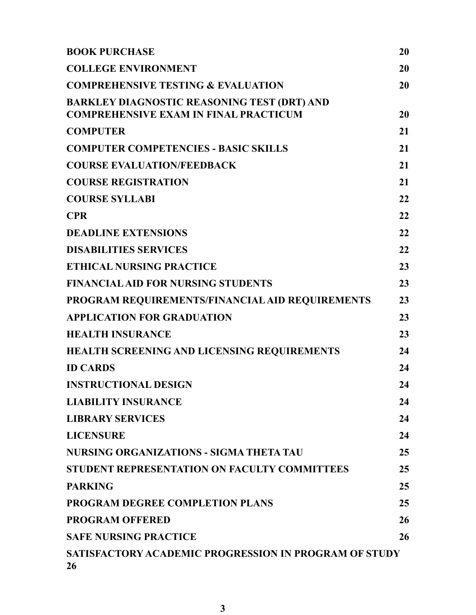| <b>BOOK PURCHASE</b>                                                                               | 20 |
|----------------------------------------------------------------------------------------------------|----|
| <b>COLLEGE ENVIRONMENT</b>                                                                         | 20 |
| <b>COMPREHENSIVE TESTING &amp; EVALUATION</b>                                                      | 20 |
| <b>BARKLEY DIAGNOSTIC REASONING TEST (DRT) AND</b><br><b>COMPREHENSIVE EXAM IN FINAL PRACTICUM</b> | 20 |
| <b>COMPUTER</b>                                                                                    | 21 |
| <b>COMPUTER COMPETENCIES - BASIC SKILLS</b>                                                        | 21 |
| <b>COURSE EVALUATION/FEEDBACK</b>                                                                  | 21 |
| <b>COURSE REGISTRATION</b>                                                                         | 21 |
| <b>COURSE SYLLABI</b>                                                                              | 22 |
| <b>CPR</b>                                                                                         | 22 |
| <b>DEADLINE EXTENSIONS</b>                                                                         | 22 |
| <b>DISABILITIES SERVICES</b>                                                                       | 22 |
| <b>ETHICAL NURSING PRACTICE</b>                                                                    | 23 |
| <b>FINANCIAL AID FOR NURSING STUDENTS</b>                                                          | 23 |
| PROGRAM REQUIREMENTS/FINANCIAL AID REQUIREMENTS                                                    | 23 |
| <b>APPLICATION FOR GRADUATION</b>                                                                  | 23 |
| <b>HEALTH INSURANCE</b>                                                                            | 23 |
| <b>HEALTH SCREENING AND LICENSING REQUIREMENTS</b>                                                 | 24 |
| <b>ID CARDS</b>                                                                                    | 24 |
| <b>INSTRUCTIONAL DESIGN</b>                                                                        | 24 |
| <b>LIABILITY INSURANCE</b>                                                                         | 24 |
| <b>LIBRARY SERVICES</b>                                                                            | 24 |
| <b>LICENSURE</b>                                                                                   | 24 |
| NURSING ORGANIZATIONS - SIGMA THETA TAU                                                            | 25 |
| STUDENT REPRESENTATION ON FACULTY COMMITTEES                                                       | 25 |
| <b>PARKING</b>                                                                                     | 25 |
| <b>PROGRAM DEGREE COMPLETION PLANS</b>                                                             | 25 |
| <b>PROGRAM OFFERED</b>                                                                             | 26 |
| <b>SAFE NURSING PRACTICE</b>                                                                       | 26 |
| SATISFACTORY ACADEMIC PROGRESSION IN PROGRAM OF STUDY<br>26                                        |    |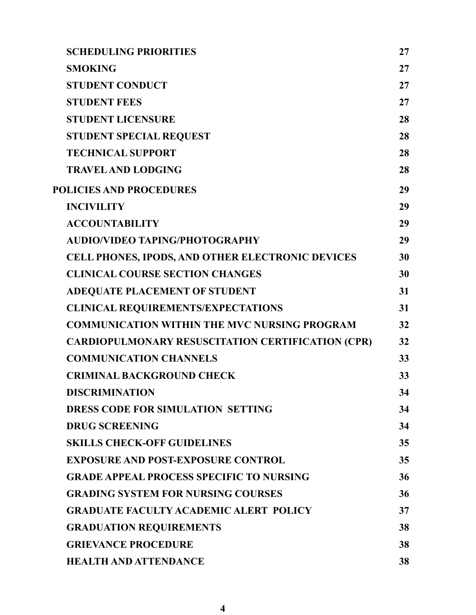| <b>SCHEDULING PRIORITIES</b>                             | 27 |
|----------------------------------------------------------|----|
| <b>SMOKING</b>                                           | 27 |
| <b>STUDENT CONDUCT</b>                                   | 27 |
| <b>STUDENT FEES</b>                                      | 27 |
| <b>STUDENT LICENSURE</b>                                 | 28 |
| <b>STUDENT SPECIAL REQUEST</b>                           | 28 |
| <b>TECHNICAL SUPPORT</b>                                 | 28 |
| <b>TRAVEL AND LODGING</b>                                | 28 |
| <b>POLICIES AND PROCEDURES</b>                           | 29 |
| <b>INCIVILITY</b>                                        | 29 |
| <b>ACCOUNTABILITY</b>                                    | 29 |
| <b>AUDIO/VIDEO TAPING/PHOTOGRAPHY</b>                    | 29 |
| CELL PHONES, IPODS, AND OTHER ELECTRONIC DEVICES         | 30 |
| <b>CLINICAL COURSE SECTION CHANGES</b>                   | 30 |
| <b>ADEQUATE PLACEMENT OF STUDENT</b>                     | 31 |
| <b>CLINICAL REQUIREMENTS/EXPECTATIONS</b>                | 31 |
| <b>COMMUNICATION WITHIN THE MVC NURSING PROGRAM</b>      | 32 |
| <b>CARDIOPULMONARY RESUSCITATION CERTIFICATION (CPR)</b> | 32 |
| <b>COMMUNICATION CHANNELS</b>                            | 33 |
| <b>CRIMINAL BACKGROUND CHECK</b>                         | 33 |
| <b>DISCRIMINATION</b>                                    | 34 |
| DRESS CODE FOR SIMULATION SETTING                        | 34 |
| <b>DRUG SCREENING</b>                                    | 34 |
| <b>SKILLS CHECK-OFF GUIDELINES</b>                       | 35 |
| <b>EXPOSURE AND POST-EXPOSURE CONTROL</b>                | 35 |
| <b>GRADE APPEAL PROCESS SPECIFIC TO NURSING</b>          | 36 |
| <b>GRADING SYSTEM FOR NURSING COURSES</b>                | 36 |
| <b>GRADUATE FACULTY ACADEMIC ALERT POLICY</b>            | 37 |
| <b>GRADUATION REQUIREMENTS</b>                           | 38 |
| <b>GRIEVANCE PROCEDURE</b>                               | 38 |
| <b>HEALTH AND ATTENDANCE</b>                             | 38 |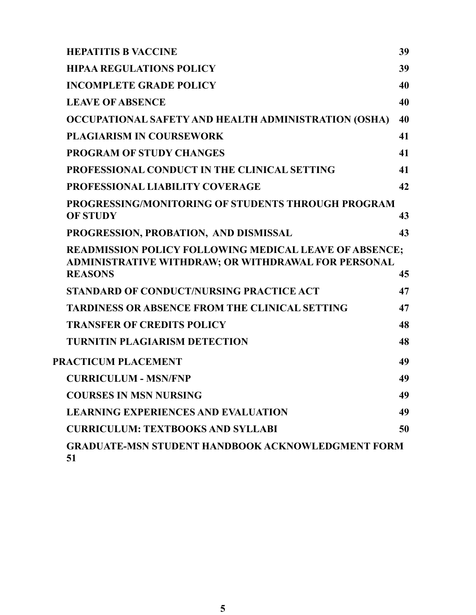| <b>HEPATITIS B VACCINE</b>                                                                                                             | 39 |
|----------------------------------------------------------------------------------------------------------------------------------------|----|
| <b>HIPAA REGULATIONS POLICY</b>                                                                                                        | 39 |
| <b>INCOMPLETE GRADE POLICY</b>                                                                                                         | 40 |
| <b>LEAVE OF ABSENCE</b>                                                                                                                | 40 |
| OCCUPATIONAL SAFETY AND HEALTH ADMINISTRATION (OSHA)                                                                                   | 40 |
| <b>PLAGIARISM IN COURSEWORK</b>                                                                                                        | 41 |
| <b>PROGRAM OF STUDY CHANGES</b>                                                                                                        | 41 |
| PROFESSIONAL CONDUCT IN THE CLINICAL SETTING                                                                                           | 41 |
| PROFESSIONAL LIABILITY COVERAGE                                                                                                        | 42 |
| <b>PROGRESSING/MONITORING OF STUDENTS THROUGH PROGRAM</b><br><b>OF STUDY</b>                                                           | 43 |
| PROGRESSION, PROBATION, AND DISMISSAL                                                                                                  | 43 |
| <b>READMISSION POLICY FOLLOWING MEDICAL LEAVE OF ABSENCE;</b><br>ADMINISTRATIVE WITHDRAW; OR WITHDRAWAL FOR PERSONAL<br><b>REASONS</b> | 45 |
| STANDARD OF CONDUCT/NURSING PRACTICE ACT                                                                                               | 47 |
| <b>TARDINESS OR ABSENCE FROM THE CLINICAL SETTING</b>                                                                                  | 47 |
| <b>TRANSFER OF CREDITS POLICY</b>                                                                                                      | 48 |
| <b>TURNITIN PLAGIARISM DETECTION</b>                                                                                                   | 48 |
| PRACTICUM PLACEMENT                                                                                                                    | 49 |
| <b>CURRICULUM - MSN/FNP</b>                                                                                                            | 49 |
| <b>COURSES IN MSN NURSING</b>                                                                                                          | 49 |
| <b>LEARNING EXPERIENCES AND EVALUATION</b>                                                                                             | 49 |
| <b>CURRICULUM: TEXTBOOKS AND SYLLABI</b>                                                                                               | 50 |
| <b>GRADUATE-MSN STUDENT HANDBOOK ACKNOWLEDGMENT FORM</b><br>51                                                                         |    |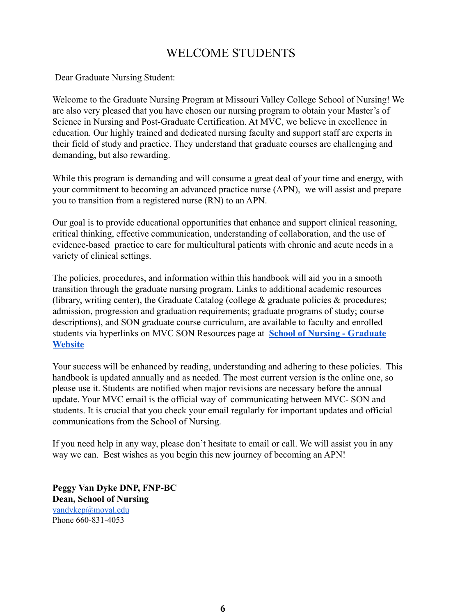# WELCOME STUDENTS

<span id="page-5-0"></span>Dear Graduate Nursing Student:

Welcome to the Graduate Nursing Program at Missouri Valley College School of Nursing! We are also very pleased that you have chosen our nursing program to obtain your Master's of Science in Nursing and Post-Graduate Certification. At MVC, we believe in excellence in education. Our highly trained and dedicated nursing faculty and support staff are experts in their field of study and practice. They understand that graduate courses are challenging and demanding, but also rewarding.

While this program is demanding and will consume a great deal of your time and energy, with your commitment to becoming an advanced practice nurse (APN), we will assist and prepare you to transition from a registered nurse (RN) to an APN.

Our goal is to provide educational opportunities that enhance and support clinical reasoning, critical thinking, effective communication, understanding of collaboration, and the use of evidence-based practice to care for multicultural patients with chronic and acute needs in a variety of clinical settings.

The policies, procedures, and information within this handbook will aid you in a smooth transition through the graduate nursing program. Links to additional academic resources (library, writing center), the Graduate Catalog (college  $\&$  graduate policies  $\&$  procedures; admission, progression and graduation requirements; graduate programs of study; course descriptions), and SON graduate course curriculum, are available to faculty and enrolled students via hyperlinks on MVC SON Resources page at **[School of Nursing - Graduate](https://www.moval.edu/academics/academic-divisions/school-of-nursing/master-of-science-in-nursing/) [Website](https://www.moval.edu/academics/academic-divisions/school-of-nursing/master-of-science-in-nursing/)**

Your success will be enhanced by reading, understanding and adhering to these policies. This handbook is updated annually and as needed. The most current version is the online one, so please use it. Students are notified when major revisions are necessary before the annual update. Your MVC email is the official way of communicating between MVC- SON and students. It is crucial that you check your email regularly for important updates and official communications from the School of Nursing.

If you need help in any way, please don't hesitate to email or call. We will assist you in any way we can. Best wishes as you begin this new journey of becoming an APN!

**Peggy Van Dyke DNP, FNP-BC Dean, School of Nursing** [vandykep@moval.edu](mailto:vandykep@moval.edu) Phone 660-831-4053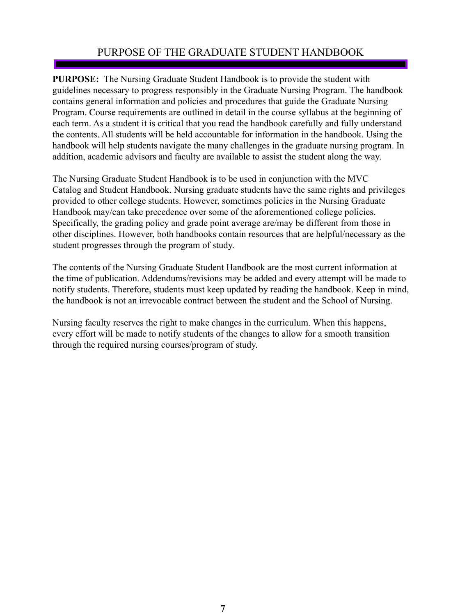# PURPOSE OF THE GRADUATE STUDENT HANDBOOK

<span id="page-6-0"></span>**PURPOSE:** The Nursing Graduate Student Handbook is to provide the student with guidelines necessary to progress responsibly in the Graduate Nursing Program. The handbook contains general information and policies and procedures that guide the Graduate Nursing Program. Course requirements are outlined in detail in the course syllabus at the beginning of each term. As a student it is critical that you read the handbook carefully and fully understand the contents. All students will be held accountable for information in the handbook. Using the handbook will help students navigate the many challenges in the graduate nursing program. In addition, academic advisors and faculty are available to assist the student along the way.

The Nursing Graduate Student Handbook is to be used in conjunction with the MVC Catalog and Student Handbook. Nursing graduate students have the same rights and privileges provided to other college students. However, sometimes policies in the Nursing Graduate Handbook may/can take precedence over some of the aforementioned college policies. Specifically, the grading policy and grade point average are/may be different from those in other disciplines. However, both handbooks contain resources that are helpful/necessary as the student progresses through the program of study.

The contents of the Nursing Graduate Student Handbook are the most current information at the time of publication. Addendums/revisions may be added and every attempt will be made to notify students. Therefore, students must keep updated by reading the handbook. Keep in mind, the handbook is not an irrevocable contract between the student and the School of Nursing.

Nursing faculty reserves the right to make changes in the curriculum. When this happens, every effort will be made to notify students of the changes to allow for a smooth transition through the required nursing courses/program of study.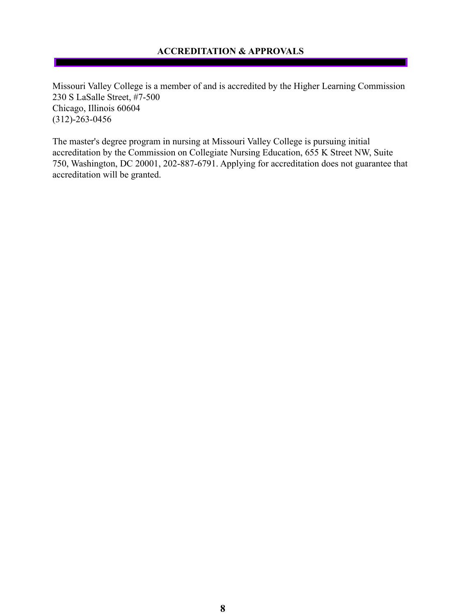# **ACCREDITATION & APPROVALS**

<span id="page-7-0"></span>Missouri Valley College is a member of and is accredited by the Higher Learning Commission 230 S LaSalle Street, #7-500 Chicago, Illinois 60604 (312)-263-0456

The master's degree program in nursing at Missouri Valley College is pursuing initial accreditation by the Commission on Collegiate Nursing Education, 655 K Street NW, Suite 750, Washington, DC 20001, 202-887-6791. Applying for accreditation does not guarantee that accreditation will be granted.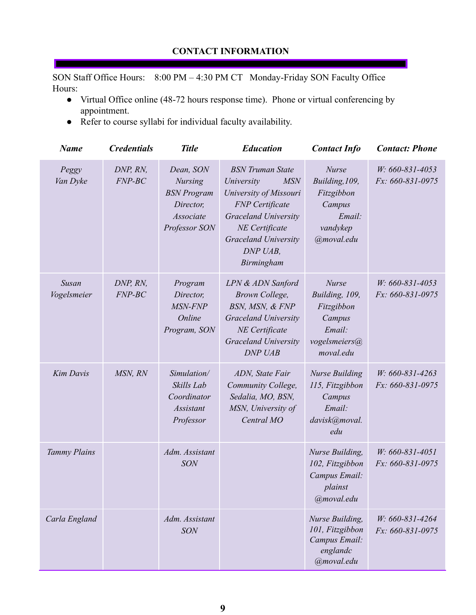<span id="page-8-0"></span>SON Staff Office Hours: 8:00 PM – 4:30 PM CT Monday-Friday SON Faculty Office Hours:

- Virtual Office online (48-72 hours response time). Phone or virtual conferencing by appointment.
- Refer to course syllabi for individual faculty availability.

| <b>Name</b>                 | <b>Credentials</b>   | <b>Title</b>                                                                                 | <b>Education</b>                                                                                                                                                                                           | <b>Contact Info</b>                                                                            | <b>Contact: Phone</b>               |
|-----------------------------|----------------------|----------------------------------------------------------------------------------------------|------------------------------------------------------------------------------------------------------------------------------------------------------------------------------------------------------------|------------------------------------------------------------------------------------------------|-------------------------------------|
| Peggy<br>Van Dyke           | DNP, RN,<br>$FNP-BC$ | Dean, SON<br><b>Nursing</b><br><b>BSN</b> Program<br>Director,<br>Associate<br>Professor SON | <b>BSN</b> Truman State<br><b>MSN</b><br>University<br>University of Missouri<br><b>FNP</b> Certificate<br><b>Graceland University</b><br>NE Certificate<br>Graceland University<br>DNP UAB,<br>Birmingham | <b>Nurse</b><br>Building, 109,<br>Fitzgibbon<br>Campus<br>Email:<br>vandykep<br>@moval.edu     | W: 660-831-4053<br>Fx: 660-831-0975 |
| <b>Susan</b><br>Vogelsmeier | DNP, RN,<br>$FNP-BC$ | Program<br>Director,<br>MSN-FNP<br>Online<br>Program, SON                                    | LPN & ADN Sanford<br>Brown College,<br>BSN, MSN, & FNP<br><b>Graceland University</b><br>NE Certificate<br>Graceland University<br>DNP UAB                                                                 | <b>Nurse</b><br>Building, 109,<br>Fitzgibbon<br>Campus<br>Email:<br>vogelsmeiers@<br>moval.edu | W: 660-831-4053<br>Fx: 660-831-0975 |
| Kim Davis                   | MSN, RN              | Simulation/<br>Skills Lab<br>Coordinator<br><b>Assistant</b><br>Professor                    | ADN, State Fair<br>Community College,<br>Sedalia, MO, BSN,<br>MSN, University of<br>Central MO                                                                                                             | <b>Nurse Building</b><br>115, Fitzgibbon<br>Campus<br>Email:<br>davisk@moval.<br>edu           | W: 660-831-4263<br>Fx: 660-831-0975 |
| Tammy Plains                |                      | Adm. Assistant<br><b>SON</b>                                                                 |                                                                                                                                                                                                            | Nurse Building,<br>102, Fitzgibbon<br>Campus Email:<br>plainst<br>@moval.edu                   | W: 660-831-4051<br>Fx: 660-831-0975 |
| Carla England               |                      | Adm. Assistant<br><b>SON</b>                                                                 |                                                                                                                                                                                                            | Nurse Building,<br>101, Fitzgibbon<br>Campus Email:<br>englandc<br>@moval.edu                  | W: 660-831-4264<br>Fx: 660-831-0975 |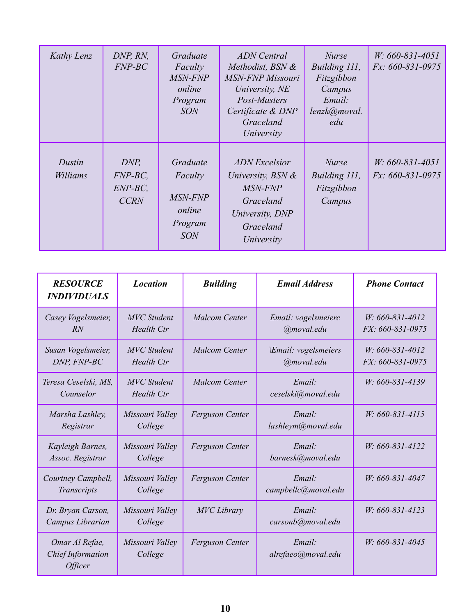| Kathy Lenz         | DNP, RN,<br>$FNP-BC$                                                                                                 | Graduate<br>Faculty<br>MSN-FNP<br>online<br>Program<br><b>SON</b> | <b>ADN</b> Central<br>Methodist, BSN &<br><b>MSN-FNP Missouri</b><br>University, NE<br>Post-Masters<br>Certificate & DNP<br>Graceland<br>University | <b>Nurse</b><br>Building 111,<br>Fitzgibbon<br>Campus<br>Email:<br>lenzk@moval.<br>edu | $W: 660 - 831 - 4051$<br>$Fx: 660-831-0975$ |
|--------------------|----------------------------------------------------------------------------------------------------------------------|-------------------------------------------------------------------|-----------------------------------------------------------------------------------------------------------------------------------------------------|----------------------------------------------------------------------------------------|---------------------------------------------|
| Dustin<br>Williams | Graduate<br>DNP,<br>$FNP-BC$ ,<br>Faculty<br>$ENP-BC$ ,<br>MSN-FNP<br><b>CCRN</b><br>online<br>Program<br><b>SON</b> |                                                                   | <b>ADN</b> Excelsior<br>University, $BSN \&$<br>MSN-FNP<br>Graceland<br>University, DNP<br>Graceland<br>University                                  | <b>Nurse</b><br>Building 111,<br>Fitzgibbon<br>Campus                                  | $W: 660 - 831 - 4051$<br>$Fx: 660-831-0975$ |

| <b>RESOURCE</b><br><b>INDIVIDUALS</b>                        | <b>Location</b>                         | <b>Building</b>        | <b>Email Address</b>              | <b>Phone Contact</b>                      |
|--------------------------------------------------------------|-----------------------------------------|------------------------|-----------------------------------|-------------------------------------------|
| Casey Vogelsmeier,<br>RN                                     | <b>MVC</b> Student<br>Health Ctr        | <b>Malcom Center</b>   | Email: vogelsmeierc<br>@moval.edu | $W: 660 - 831 - 4012$<br>FX: 660-831-0975 |
| Susan Vogelsmeier,<br>DNP, FNP-BC                            | <b>MVC</b> Student<br><b>Health Ctr</b> | <b>Malcom Center</b>   | Email: vogelsmeiers<br>@moval.edu | $W: 660 - 831 - 4012$<br>FX: 660-831-0975 |
| Teresa Ceselski, MS,<br>Counselor                            | <b>MVC</b> Student<br>Health Ctr        | <b>Malcom Center</b>   | Email:<br>ceselski@moval.edu      | W: 660-831-4139                           |
| Marsha Lashley,<br>Registrar                                 | Missouri Valley<br>College              | <b>Ferguson Center</b> | Email:<br>lashleym@moval.edu      | W: 660-831-4115                           |
| Kayleigh Barnes,<br>Assoc. Registrar                         | Missouri Valley<br>College              | <b>Ferguson Center</b> | Email:<br>barnesk@moval.edu       | W: 660-831-4122                           |
| Courtney Campbell,<br>Transcripts                            | Missouri Valley<br>College              | <b>Ferguson Center</b> | Email:<br>campbellc@moval.edu     | W: 660-831-4047                           |
| Dr. Bryan Carson,<br>Campus Librarian                        | Missouri Valley<br>College              | <b>MVC</b> Library     | Email:<br>carsonb@moval.edu       | $W: 660 - 831 - 4123$                     |
| Omar Al Refae,<br>Chief Information<br><i><b>Officer</b></i> | Missouri Valley<br>College              | <b>Ferguson Center</b> | Email:<br>alrefaeo@moval.edu      | W: 660-831-4045                           |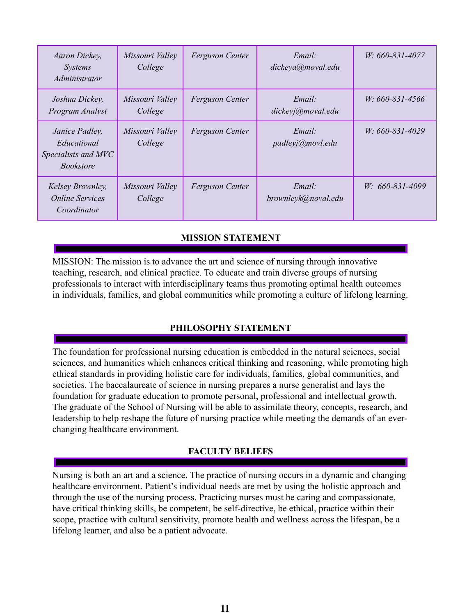| Aaron Dickey,<br><i>Systems</i><br>Administrator                         | Missouri Valley<br>College | <b>Ferguson Center</b> | Email:<br>dickeya@moval.edu   | W: 660-831-4077       |
|--------------------------------------------------------------------------|----------------------------|------------------------|-------------------------------|-----------------------|
| Joshua Dickey,<br>Program Analyst                                        | Missouri Valley<br>College | <b>Ferguson Center</b> | Email:<br>dickeyj@moval.edu   | W: 660-831-4566       |
| Janice Padley,<br>Educational<br>Specialists and MVC<br><i>Bookstore</i> | Missouri Valley<br>College | <b>Ferguson Center</b> | Email:<br>padleyj@movl.edu    | $W: 660 - 831 - 4029$ |
| Kelsey Brownley,<br><b>Online Services</b><br>Coordinator                | Missouri Valley<br>College | <b>Ferguson Center</b> | Email:<br>brownleyk@noval.edu | $W: 660 - 831 - 4099$ |

# **MISSION STATEMENT**

<span id="page-10-0"></span>MISSION: The mission is to advance the art and science of nursing through innovative teaching, research, and clinical practice. To educate and train diverse groups of nursing professionals to interact with interdisciplinary teams thus promoting optimal health outcomes in individuals, families, and global communities while promoting a culture of lifelong learning.

# **PHILOSOPHY STATEMENT**

<span id="page-10-1"></span>The foundation for professional nursing education is embedded in the natural sciences, social sciences, and humanities which enhances critical thinking and reasoning, while promoting high ethical standards in providing holistic care for individuals, families, global communities, and societies. The baccalaureate of science in nursing prepares a nurse generalist and lays the foundation for graduate education to promote personal, professional and intellectual growth. The graduate of the School of Nursing will be able to assimilate theory, concepts, research, and leadership to help reshape the future of nursing practice while meeting the demands of an everchanging healthcare environment.

# **FACULTY BELIEFS**

<span id="page-10-2"></span>Nursing is both an art and a science. The practice of nursing occurs in a dynamic and changing healthcare environment. Patient's individual needs are met by using the holistic approach and through the use of the nursing process. Practicing nurses must be caring and compassionate, have critical thinking skills, be competent, be self-directive, be ethical, practice within their scope, practice with cultural sensitivity, promote health and wellness across the lifespan, be a lifelong learner, and also be a patient advocate.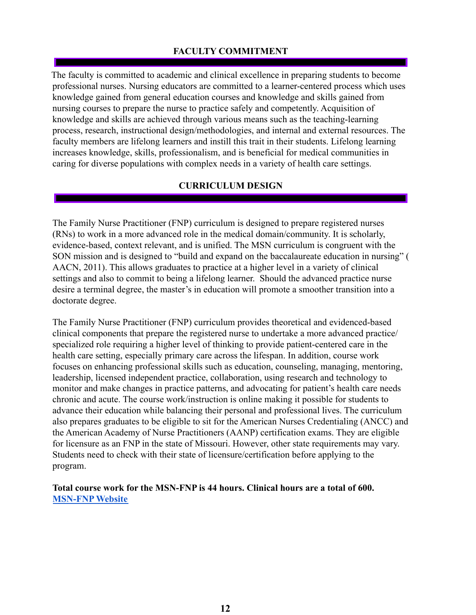# **FACULTY COMMITMENT**

<span id="page-11-0"></span>The faculty is committed to academic and clinical excellence in preparing students to become professional nurses. Nursing educators are committed to a learner-centered process which uses knowledge gained from general education courses and knowledge and skills gained from nursing courses to prepare the nurse to practice safely and competently. Acquisition of knowledge and skills are achieved through various means such as the teaching-learning process, research, instructional design/methodologies, and internal and external resources. The faculty members are lifelong learners and instill this trait in their students. Lifelong learning increases knowledge, skills, professionalism, and is beneficial for medical communities in caring for diverse populations with complex needs in a variety of health care settings.

#### **CURRICULUM DESIGN**

<span id="page-11-1"></span>The Family Nurse Practitioner (FNP) curriculum is designed to prepare registered nurses (RNs) to work in a more advanced role in the medical domain/community. It is scholarly, evidence-based, context relevant, and is unified. The MSN curriculum is congruent with the SON mission and is designed to "build and expand on the baccalaureate education in nursing" ( AACN, 2011). This allows graduates to practice at a higher level in a variety of clinical settings and also to commit to being a lifelong learner. Should the advanced practice nurse desire a terminal degree, the master's in education will promote a smoother transition into a doctorate degree.

The Family Nurse Practitioner (FNP) curriculum provides theoretical and evidenced-based clinical components that prepare the registered nurse to undertake a more advanced practice/ specialized role requiring a higher level of thinking to provide patient-centered care in the health care setting, especially primary care across the lifespan. In addition, course work focuses on enhancing professional skills such as education, counseling, managing, mentoring, leadership, licensed independent practice, collaboration, using research and technology to monitor and make changes in practice patterns, and advocating for patient's health care needs chronic and acute. The course work/instruction is online making it possible for students to advance their education while balancing their personal and professional lives. The curriculum also prepares graduates to be eligible to sit for the American Nurses Credentialing (ANCC) and the American Academy of Nurse Practitioners (AANP) certification exams. They are eligible for licensure as an FNP in the state of Missouri. However, other state requirements may vary. Students need to check with their state of licensure/certification before applying to the program.

#### **Total course work for the MSN-FNP is 44 hours. Clinical hours are a total of 600. [MSN-FNP](https://www.moval.edu/academics/academic-divisions/school-of-nursing/master-of-science-in-nursing/) Website**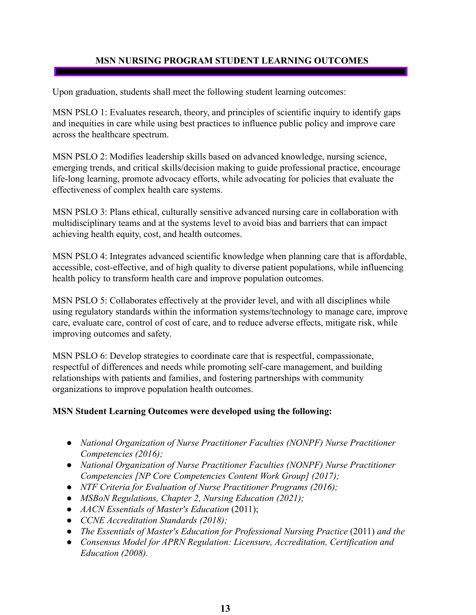## **MSN NURSING PROGRAM STUDENT LEARNING OUTCOMES**

Upon graduation, students shall meet the following student learning outcomes:

MSN PSLO 1: Evaluates research, theory, and principles of scientific inquiry to identify gaps and inequities in care while using best practices to influence public policy and improve care across the healthcare spectrum.

MSN PSLO 2: Modifies leadership skills based on advanced knowledge, nursing science, emerging trends, and critical skills/decision making to guide professional practice, encourage life-long learning, promote advocacy efforts, while advocating for policies that evaluate the effectiveness of complex health care systems.

MSN PSLO 3: Plans ethical, culturally sensitive advanced nursing care in collaboration with multidisciplinary teams and at the systems level to avoid bias and barriers that can impact achieving health equity, cost, and health outcomes.

MSN PSLO 4: Integrates advanced scientific knowledge when planning care that is affordable, accessible, cost-effective, and of high quality to diverse patient populations, while influencing health policy to transform health care and improve population outcomes.

MSN PSLO 5: Collaborates effectively at the provider level, and with all disciplines while using regulatory standards within the information systems/technology to manage care, improve care, evaluate care, control of cost of care, and to reduce adverse effects, mitigate risk, while improving outcomes and safety.

MSN PSLO 6: Develop strategies to coordinate care that is respectful, compassionate, respectful of differences and needs while promoting self-care management, and building relationships with patients and families, and fostering partnerships with community organizations to improve population health outcomes.

#### **MSN Student Learning Outcomes were developed using the following:**

- *● National Organization of Nurse Practitioner Faculties (NONPF) Nurse Practitioner Competencies (2016);*
- *● National Organization of Nurse Practitioner Faculties (NONPF) Nurse Practitioner Competencies [NP Core Competencies Content Work Group] (2017);*
- *NTF Criteria for Evaluation of Nurse Practitioner Programs (2016);*
- *● MSBoN Regulations, Chapter 2, Nursing Education (2021);*
- *● AACN Essentials of Master's Education* (2011);
- *CCNE Accreditation Standards (2018);*
- *● The Essentials of Master's Education for Professional Nursing Practice* (2011) *and the*
- *● Consensus Model for APRN Regulation: Licensure, Accreditation, Certification and Education (2008).*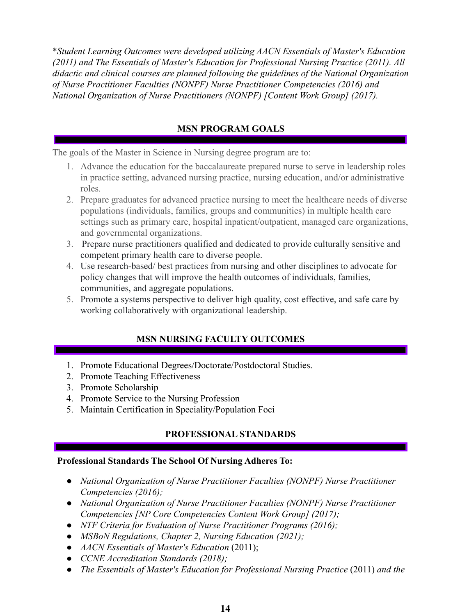\**Student Learning Outcomes were developed utilizing AACN Essentials of Master's Education (2011) and The Essentials of Master's Education for Professional Nursing Practice (2011). All didactic and clinical courses are planned following the guidelines of the National Organization of Nurse Practitioner Faculties (NONPF) Nurse Practitioner Competencies (2016) and National Organization of Nurse Practitioners (NONPF) [Content Work Group] (2017).*

# **MSN PROGRAM GOALS**

The goals of the Master in Science in Nursing degree program are to:

- 1. Advance the education for the baccalaureate prepared nurse to serve in leadership roles in practice setting, advanced nursing practice, nursing education, and/or administrative roles.
- 2. Prepare graduates for advanced practice nursing to meet the healthcare needs of diverse populations (individuals, families, groups and communities) in multiple health care settings such as primary care, hospital inpatient/outpatient, managed care organizations, and governmental organizations.
- 3. Prepare nurse practitioners qualified and dedicated to provide culturally sensitive and competent primary health care to diverse people.
- 4. Use research-based/ best practices from nursing and other disciplines to advocate for policy changes that will improve the health outcomes of individuals, families, communities, and aggregate populations.
- 5. Promote a systems perspective to deliver high quality, cost effective, and safe care by working collaboratively with organizational leadership.

# **MSN NURSING FACULTY OUTCOMES**

- <span id="page-13-0"></span>1. Promote Educational Degrees/Doctorate/Postdoctoral Studies.
- 2. Promote Teaching Effectiveness
- 3. Promote Scholarship
- 4. Promote Service to the Nursing Profession
- 5. Maintain Certification in Speciality/Population Foci

# **PROFESSIONAL STANDARDS**

#### <span id="page-13-1"></span>**Professional Standards The School Of Nursing Adheres To:**

- *● National Organization of Nurse Practitioner Faculties (NONPF) Nurse Practitioner Competencies (2016);*
- *● National Organization of Nurse Practitioner Faculties (NONPF) Nurse Practitioner Competencies [NP Core Competencies Content Work Group] (2017);*
- *NTF Criteria for Evaluation of Nurse Practitioner Programs (2016);*
- *● MSBoN Regulations, Chapter 2, Nursing Education (2021);*
- *● AACN Essentials of Master's Education* (2011);
- *CCNE Accreditation Standards (2018);*
- *● The Essentials of Master's Education for Professional Nursing Practice* (2011) *and the*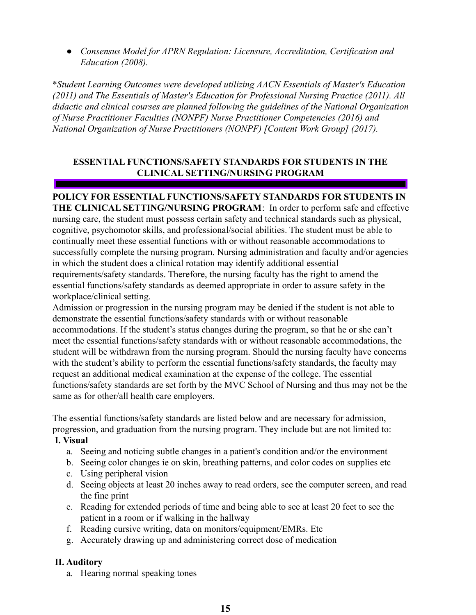*● Consensus Model for APRN Regulation: Licensure, Accreditation, Certification and Education (2008).*

\**Student Learning Outcomes were developed utilizing AACN Essentials of Master's Education (2011) and The Essentials of Master's Education for Professional Nursing Practice (2011). All didactic and clinical courses are planned following the guidelines of the National Organization of Nurse Practitioner Faculties (NONPF) Nurse Practitioner Competencies (2016) and National Organization of Nurse Practitioners (NONPF) [Content Work Group] (2017).*

## <span id="page-14-0"></span>**ESSENTIAL FUNCTIONS/SAFETY STANDARDS FOR STUDENTS IN THE CLINICAL SETTING/NURSING PROGRAM**

**POLICY FOR ESSENTIAL FUNCTIONS/SAFETY STANDARDS FOR STUDENTS IN THE CLINICAL SETTING/NURSING PROGRAM**: In order to perform safe and effective nursing care, the student must possess certain safety and technical standards such as physical, cognitive, psychomotor skills, and professional/social abilities. The student must be able to continually meet these essential functions with or without reasonable accommodations to successfully complete the nursing program. Nursing administration and faculty and/or agencies in which the student does a clinical rotation may identify additional essential requirements/safety standards. Therefore, the nursing faculty has the right to amend the essential functions/safety standards as deemed appropriate in order to assure safety in the workplace/clinical setting.

Admission or progression in the nursing program may be denied if the student is not able to demonstrate the essential functions/safety standards with or without reasonable accommodations. If the student's status changes during the program, so that he or she can't meet the essential functions/safety standards with or without reasonable accommodations, the student will be withdrawn from the nursing program. Should the nursing faculty have concerns with the student's ability to perform the essential functions/safety standards, the faculty may request an additional medical examination at the expense of the college. The essential functions/safety standards are set forth by the MVC School of Nursing and thus may not be the same as for other/all health care employers.

The essential functions/safety standards are listed below and are necessary for admission, progression, and graduation from the nursing program. They include but are not limited to:

#### <span id="page-14-1"></span>**I. Visual**

- a. Seeing and noticing subtle changes in a patient's condition and/or the environment
- b. Seeing color changes ie on skin, breathing patterns, and color codes on supplies etc
- c. Using peripheral vision
- d. Seeing objects at least 20 inches away to read orders, see the computer screen, and read the fine print
- e. Reading for extended periods of time and being able to see at least 20 feet to see the patient in a room or if walking in the hallway
- f. Reading cursive writing, data on monitors/equipment/EMRs. Etc
- g. Accurately drawing up and administering correct dose of medication

#### <span id="page-14-2"></span>**II. Auditory**

a. Hearing normal speaking tones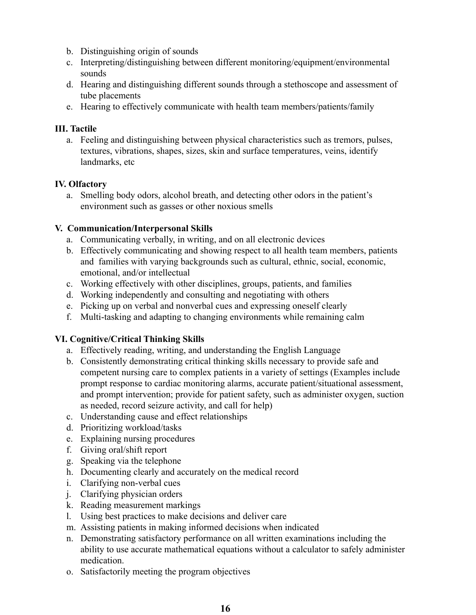- b. Distinguishing origin of sounds
- c. Interpreting/distinguishing between different monitoring/equipment/environmental sounds
- d. Hearing and distinguishing different sounds through a stethoscope and assessment of tube placements
- e. Hearing to effectively communicate with health team members/patients/family

## <span id="page-15-0"></span>**III. Tactile**

a. Feeling and distinguishing between physical characteristics such as tremors, pulses, textures, vibrations, shapes, sizes, skin and surface temperatures, veins, identify landmarks, etc

# <span id="page-15-1"></span>**IV. Olfactory**

a. Smelling body odors, alcohol breath, and detecting other odors in the patient's environment such as gasses or other noxious smells

## <span id="page-15-2"></span>**V. Communication/Interpersonal Skills**

- a. Communicating verbally, in writing, and on all electronic devices
- b. Effectively communicating and showing respect to all health team members, patients and families with varying backgrounds such as cultural, ethnic, social, economic, emotional, and/or intellectual
- c. Working effectively with other disciplines, groups, patients, and families
- d. Working independently and consulting and negotiating with others
- e. Picking up on verbal and nonverbal cues and expressing oneself clearly
- f. Multi-tasking and adapting to changing environments while remaining calm

# <span id="page-15-3"></span>**VI. Cognitive/Critical Thinking Skills**

- a. Effectively reading, writing, and understanding the English Language
- b. Consistently demonstrating critical thinking skills necessary to provide safe and competent nursing care to complex patients in a variety of settings (Examples include prompt response to cardiac monitoring alarms, accurate patient/situational assessment, and prompt intervention; provide for patient safety, such as administer oxygen, suction as needed, record seizure activity, and call for help)
- c. Understanding cause and effect relationships
- d. Prioritizing workload/tasks
- e. Explaining nursing procedures
- f. Giving oral/shift report
- g. Speaking via the telephone
- h. Documenting clearly and accurately on the medical record
- i. Clarifying non-verbal cues
- j. Clarifying physician orders
- k. Reading measurement markings
- l. Using best practices to make decisions and deliver care
- m. Assisting patients in making informed decisions when indicated
- n. Demonstrating satisfactory performance on all written examinations including the ability to use accurate mathematical equations without a calculator to safely administer medication.
- o. Satisfactorily meeting the program objectives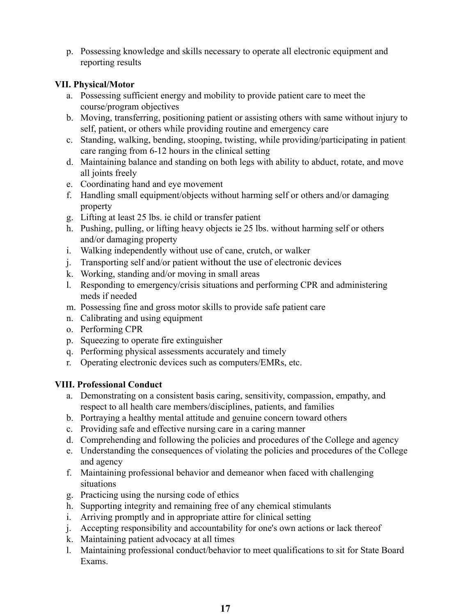p. Possessing knowledge and skills necessary to operate all electronic equipment and reporting results

## <span id="page-16-0"></span>**VII. Physical/Motor**

- a. Possessing sufficient energy and mobility to provide patient care to meet the course/program objectives
- b. Moving, transferring, positioning patient or assisting others with same without injury to self, patient, or others while providing routine and emergency care
- c. Standing, walking, bending, stooping, twisting, while providing/participating in patient care ranging from 6-12 hours in the clinical setting
- d. Maintaining balance and standing on both legs with ability to abduct, rotate, and move all joints freely
- e. Coordinating hand and eye movement
- f. Handling small equipment/objects without harming self or others and/or damaging property
- g. Lifting at least 25 lbs. ie child or transfer patient
- h. Pushing, pulling, or lifting heavy objects ie 25 lbs. without harming self or others and/or damaging property
- i. Walking independently without use of cane, crutch, or walker
- j. Transporting self and/or patient without the use of electronic devices
- k. Working, standing and/or moving in small areas
- l. Responding to emergency/crisis situations and performing CPR and administering meds if needed
- m. Possessing fine and gross motor skills to provide safe patient care
- n. Calibrating and using equipment
- o. Performing CPR
- p. Squeezing to operate fire extinguisher
- q. Performing physical assessments accurately and timely
- r. Operating electronic devices such as computers/EMRs, etc.

# <span id="page-16-1"></span>**VIII. Professional Conduct**

- a. Demonstrating on a consistent basis caring, sensitivity, compassion, empathy, and respect to all health care members/disciplines, patients, and families
- b. Portraying a healthy mental attitude and genuine concern toward others
- c. Providing safe and effective nursing care in a caring manner
- d. Comprehending and following the policies and procedures of the College and agency
- e. Understanding the consequences of violating the policies and procedures of the College and agency
- f. Maintaining professional behavior and demeanor when faced with challenging situations
- g. Practicing using the nursing code of ethics
- h. Supporting integrity and remaining free of any chemical stimulants
- i. Arriving promptly and in appropriate attire for clinical setting
- j. Accepting responsibility and accountability for one's own actions or lack thereof
- k. Maintaining patient advocacy at all times
- l. Maintaining professional conduct/behavior to meet qualifications to sit for State Board Exams.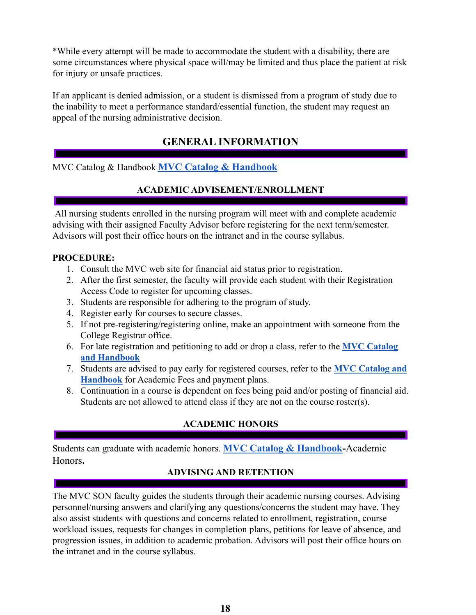\*While every attempt will be made to accommodate the student with a disability, there are some circumstances where physical space will/may be limited and thus place the patient at risk for injury or unsafe practices.

If an applicant is denied admission, or a student is dismissed from a program of study due to the inability to meet a performance standard/essential function, the student may request an appeal of the nursing administrative decision.

# **GENERAL INFORMATION**

<span id="page-17-1"></span><span id="page-17-0"></span>MVC Catalog & Handbook **MVC Catalog & [Handbook](https://www.moval.edu/academics/academic-catalog/)**

## **ACADEMIC ADVISEMENT/ENROLLMENT**

All nursing students enrolled in the nursing program will meet with and complete academic advising with their assigned Faculty Advisor before registering for the next term/semester. Advisors will post their office hours on the intranet and in the course syllabus.

## **PROCEDURE:**

- 1. Consult the MVC web site for financial aid status prior to registration.
- 2. After the first semester, the faculty will provide each student with their Registration Access Code to register for upcoming classes.
- 3. Students are responsible for adhering to the program of study.
- 4. Register early for courses to secure classes.
- 5. If not pre-registering/registering online, make an appointment with someone from the College Registrar office.
- 6. For late registration and petitioning to add or drop a class, refer to the **[MVC Catalog](https://www.moval.edu/academics/academic-catalog/) [and Handbook](https://www.moval.edu/academics/academic-catalog/)**
- 7. Students are advised to pay early for registered courses, refer to the **[MVC Catalog and](https://www.moval.edu/academics/academic-catalog/) [Handbook](https://www.moval.edu/academics/academic-catalog/)** for Academic Fees and payment plans.
- 8. Continuation in a course is dependent on fees being paid and/or posting of financial aid. Students are not allowed to attend class if they are not on the course roster(s).

# **ACADEMIC HONORS**

<span id="page-17-3"></span><span id="page-17-2"></span>Students can graduate with academic honors. **MVC Catalog & [Handbook-](https://www.moval.edu/academics/academic-catalog/)**Academic Honors**.**

# **ADVISING AND RETENTION**

The MVC SON faculty guides the students through their academic nursing courses. Advising personnel/nursing answers and clarifying any questions/concerns the student may have. They also assist students with questions and concerns related to enrollment, registration, course workload issues, requests for changes in completion plans, petitions for leave of absence, and progression issues, in addition to academic probation. Advisors will post their office hours on the intranet and in the course syllabus.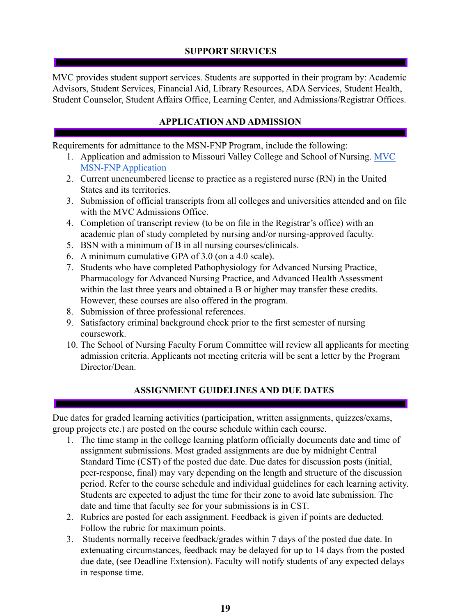# **SUPPORT SERVICES**

<span id="page-18-0"></span>MVC provides student support services. Students are supported in their program by: Academic Advisors, Student Services, Financial Aid, Library Resources, ADA Services, Student Health, Student Counselor, Student Affairs Office, Learning Center, and Admissions/Registrar Offices.

# **APPLICATION AND ADMISSION**

<span id="page-18-1"></span>Requirements for admittance to the MSN-FNP Program, include the following:

- 1. Application and admission to Missouri Valley College and School of Nursing. [MVC](https://www.moval.edu/mvcb11/gradApplicationHome.aspx) MSN-FNP [Application](https://www.moval.edu/mvcb11/gradApplicationHome.aspx)
- 2. Current unencumbered license to practice as a registered nurse (RN) in the United States and its territories.
- 3. Submission of official transcripts from all colleges and universities attended and on file with the MVC Admissions Office.
- 4. Completion of transcript review (to be on file in the Registrar's office) with an academic plan of study completed by nursing and/or nursing-approved faculty.
- 5. BSN with a minimum of B in all nursing courses/clinicals.
- 6. A minimum cumulative GPA of 3.0 (on a 4.0 scale).
- 7. Students who have completed Pathophysiology for Advanced Nursing Practice, Pharmacology for Advanced Nursing Practice, and Advanced Health Assessment within the last three years and obtained a B or higher may transfer these credits. However, these courses are also offered in the program.
- 8. Submission of three professional references.
- 9. Satisfactory criminal background check prior to the first semester of nursing coursework.
- 10. The School of Nursing Faculty Forum Committee will review all applicants for meeting admission criteria. Applicants not meeting criteria will be sent a letter by the Program Director/Dean.

# **ASSIGNMENT GUIDELINES AND DUE DATES**

<span id="page-18-2"></span>Due dates for graded learning activities (participation, written assignments, quizzes/exams, group projects etc.) are posted on the course schedule within each course.

- 1. The time stamp in the college learning platform officially documents date and time of assignment submissions. Most graded assignments are due by midnight Central Standard Time (CST) of the posted due date. Due dates for discussion posts (initial, peer-response, final) may vary depending on the length and structure of the discussion period. Refer to the course schedule and individual guidelines for each learning activity. Students are expected to adjust the time for their zone to avoid late submission. The date and time that faculty see for your submissions is in CST.
- 2. Rubrics are posted for each assignment. Feedback is given if points are deducted. Follow the rubric for maximum points.
- 3. Students normally receive feedback/grades within 7 days of the posted due date. In extenuating circumstances, feedback may be delayed for up to 14 days from the posted due date, (see Deadline Extension). Faculty will notify students of any expected delays in response time.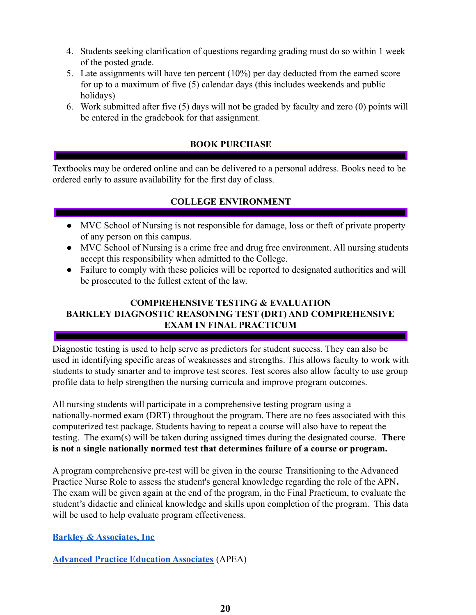- 4. Students seeking clarification of questions regarding grading must do so within 1 week of the posted grade.
- 5. Late assignments will have ten percent (10%) per day deducted from the earned score for up to a maximum of five (5) calendar days (this includes weekends and public holidays)
- 6. Work submitted after five (5) days will not be graded by faculty and zero (0) points will be entered in the gradebook for that assignment.

## **BOOK PURCHASE**

<span id="page-19-0"></span>Textbooks may be ordered online and can be delivered to a personal address. Books need to be ordered early to assure availability for the first day of class.

# **COLLEGE ENVIRONMENT**

- <span id="page-19-1"></span>● MVC School of Nursing is not responsible for damage, loss or theft of private property of any person on this campus.
- MVC School of Nursing is a crime free and drug free environment. All nursing students accept this responsibility when admitted to the College.
- Failure to comply with these policies will be reported to designated authorities and will be prosecuted to the fullest extent of the law.

## <span id="page-19-2"></span>**COMPREHENSIVE TESTING & EVALUATION BARKLEY DIAGNOSTIC REASONING TEST (DRT) AND COMPREHENSIVE EXAM IN FINAL PRACTICUM**

<span id="page-19-3"></span>Diagnostic testing is used to help serve as predictors for student success. They can also be used in identifying specific areas of weaknesses and strengths. This allows faculty to work with students to study smarter and to improve test scores. Test scores also allow faculty to use group profile data to help strengthen the nursing curricula and improve program outcomes.

All nursing students will participate in a comprehensive testing program using a nationally-normed exam (DRT) throughout the program. There are no fees associated with this computerized test package. Students having to repeat a course will also have to repeat the testing. The exam(s) will be taken during assigned times during the designated course. **There is not a single nationally normed test that determines failure of a course or program.**

A program comprehensive pre-test will be given in the course Transitioning to the Advanced Practice Nurse Role to assess the student's general knowledge regarding the role of the APN**.** The exam will be given again at the end of the program, in the Final Practicum, to evaluate the student's didactic and clinical knowledge and skills upon completion of the program. This data will be used to help evaluate program effectiveness.

**[Barkley & Associates, Inc](https://www.npcourses.com)**

**[Advanced Practice Education Associates](https://www.apea.com)** (APEA)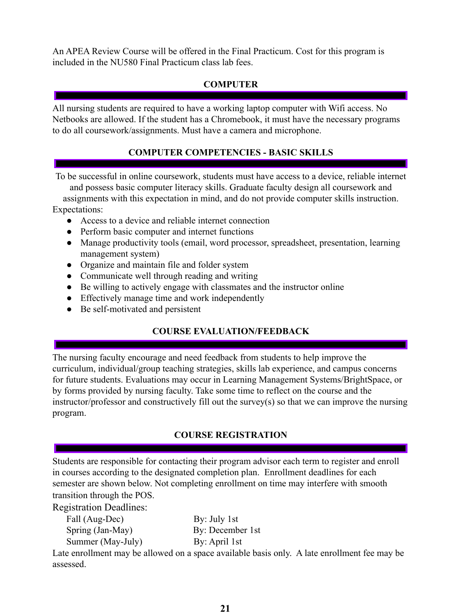An APEA Review Course will be offered in the Final Practicum. Cost for this program is included in the NU580 Final Practicum class lab fees.

# **COMPUTER**

<span id="page-20-0"></span>All nursing students are required to have a working laptop computer with Wifi access. No Netbooks are allowed. If the student has a Chromebook, it must have the necessary programs to do all coursework/assignments. Must have a camera and microphone.

# **COMPUTER COMPETENCIES - BASIC SKILLS**

<span id="page-20-1"></span>To be successful in online coursework, students must have access to a device, reliable internet and possess basic computer literacy skills. Graduate faculty design all coursework and assignments with this expectation in mind, and do not provide computer skills instruction. Expectations:

- Access to a device and reliable internet connection
- Perform basic computer and internet functions
- Manage productivity tools (email, word processor, spreadsheet, presentation, learning management system)
- Organize and maintain file and folder system
- Communicate well through reading and writing
- Be willing to actively engage with classmates and the instructor online
- Effectively manage time and work independently
- <span id="page-20-2"></span>• Be self-motivated and persistent

# **COURSE EVALUATION/FEEDBACK**

The nursing faculty encourage and need feedback from students to help improve the curriculum, individual/group teaching strategies, skills lab experience, and campus concerns for future students. Evaluations may occur in Learning Management Systems/BrightSpace, or by forms provided by nursing faculty. Take some time to reflect on the course and the instructor/professor and constructively fill out the survey(s) so that we can improve the nursing program.

# **COURSE REGISTRATION**

<span id="page-20-3"></span>Students are responsible for contacting their program advisor each term to register and enroll in courses according to the designated completion plan. Enrollment deadlines for each semester are shown below. Not completing enrollment on time may interfere with smooth transition through the POS.

Registration Deadlines:

| Fall (Aug-Dec)    | By: July 1st     |
|-------------------|------------------|
| Spring (Jan-May)  | By: December 1st |
| Summer (May-July) | By: April 1st    |

Late enrollment may be allowed on a space available basis only. A late enrollment fee may be assessed.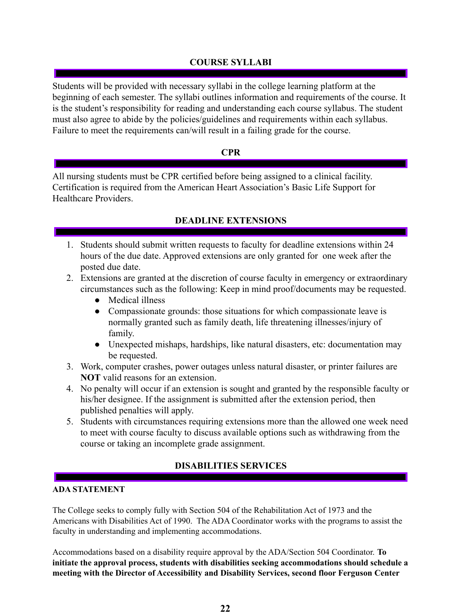# **COURSE SYLLABI**

<span id="page-21-0"></span>Students will be provided with necessary syllabi in the college learning platform at the beginning of each semester. The syllabi outlines information and requirements of the course. It is the student's responsibility for reading and understanding each course syllabus. The student must also agree to abide by the policies/guidelines and requirements within each syllabus. Failure to meet the requirements can/will result in a failing grade for the course.

#### **CPR**

<span id="page-21-1"></span>All nursing students must be CPR certified before being assigned to a clinical facility. Certification is required from the American Heart Association's Basic Life Support for Healthcare Providers.

## **DEADLINE EXTENSIONS**

- <span id="page-21-2"></span>1. Students should submit written requests to faculty for deadline extensions within 24 hours of the due date. Approved extensions are only granted for one week after the posted due date.
- 2. Extensions are granted at the discretion of course faculty in emergency or extraordinary circumstances such as the following: Keep in mind proof/documents may be requested.
	- **●** Medical illness
	- **●** Compassionate grounds: those situations for which compassionate leave is normally granted such as family death, life threatening illnesses/injury of family.
	- **●** Unexpected mishaps, hardships, like natural disasters, etc: documentation may be requested.
- 3. Work, computer crashes, power outages unless natural disaster, or printer failures are **NOT** valid reasons for an extension.
- 4. No penalty will occur if an extension is sought and granted by the responsible faculty or his/her designee. If the assignment is submitted after the extension period, then published penalties will apply.
- 5. Students with circumstances requiring extensions more than the allowed one week need to meet with course faculty to discuss available options such as withdrawing from the course or taking an incomplete grade assignment.

# **DISABILITIES SERVICES**

#### <span id="page-21-3"></span>**ADA STATEMENT**

The College seeks to comply fully with Section 504 of the Rehabilitation Act of 1973 and the Americans with Disabilities Act of 1990. The ADA Coordinator works with the programs to assist the faculty in understanding and implementing accommodations.

Accommodations based on a disability require approval by the ADA/Section 504 Coordinator. **To initiate the approval process, students with disabilities seeking accommodations should schedule a meeting with the Director of Accessibility and Disability Services, second floor Ferguson Center**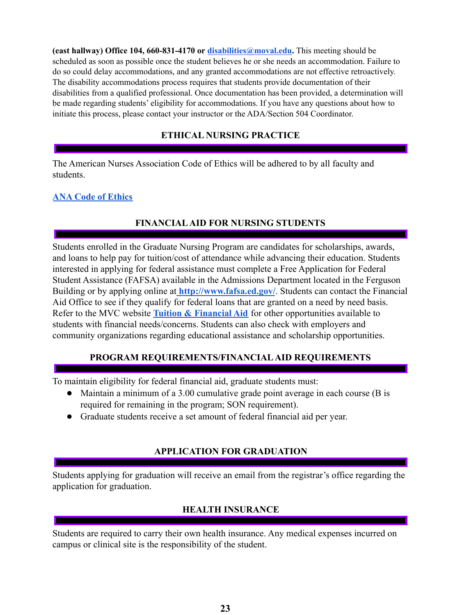**(east hallway) Office 104, 660-831-4170 or disabilities@moval.edu.** This meeting should be scheduled as soon as possible once the student believes he or she needs an accommodation. Failure to do so could delay accommodations, and any granted accommodations are not effective retroactively. The disability accommodations process requires that students provide documentation of their disabilities from a qualified professional. Once documentation has been provided, a determination will be made regarding students' eligibility for accommodations. If you have any questions about how to initiate this process, please contact your instructor or the ADA/Section 504 Coordinator.

## **ETHICAL NURSING PRACTICE**

<span id="page-22-0"></span>The American Nurses Association Code of Ethics will be adhered to by all faculty and students.

#### **[ANA Code of Ethics](https://nursing.rutgers.edu/wp-content/uploads/2019/06/ANA-Code-of-Ethics-for-Nurses.pdf)**

## **FINANCIALAID FOR NURSING STUDENTS**

<span id="page-22-1"></span>Students enrolled in the Graduate Nursing Program are candidates for scholarships, awards, and loans to help pay for tuition/cost of attendance while advancing their education. Students interested in applying for federal assistance must complete a Free Application for Federal Student Assistance (FAFSA) available in the Admissions Department located in the Ferguson Building or by applying online at **<http://www.fafsa.ed.gov/>**. Students can contact the Financial Aid Office to see if they qualify for federal loans that are granted on a need by need basis. Refer to the MVC website **[Tuition & Financial Aid](https://www.moval.edu/admissions-financial-aid/tuition-financial-aid/)** for other opportunities available to students with financial needs/concerns. Students can also check with employers and community organizations regarding educational assistance and scholarship opportunities.

#### **PROGRAM REQUIREMENTS/FINANCIAL AID REQUIREMENTS**

<span id="page-22-2"></span>To maintain eligibility for federal financial aid, graduate students must:

- Maintain a minimum of a 3.00 cumulative grade point average in each course (B is required for remaining in the program; SON requirement).
- Graduate students receive a set amount of federal financial aid per year.

#### **APPLICATION FOR GRADUATION**

<span id="page-22-3"></span>Students applying for graduation will receive an email from the registrar's office regarding the application for graduation.

# **HEALTH INSURANCE**

<span id="page-22-4"></span>Students are required to carry their own health insurance. Any medical expenses incurred on campus or clinical site is the responsibility of the student.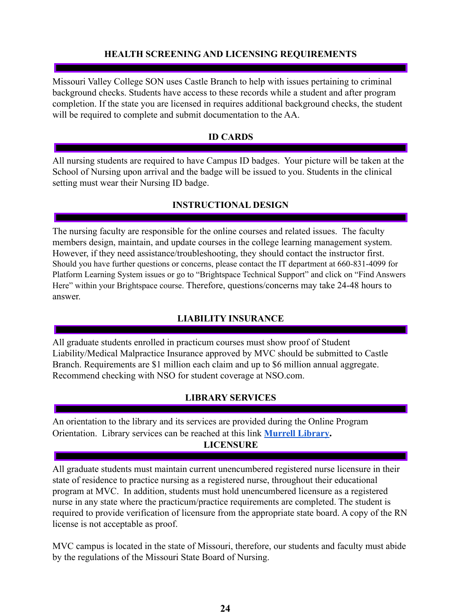#### **HEALTH SCREENING AND LICENSING REQUIREMENTS**

<span id="page-23-0"></span>Missouri Valley College SON uses Castle Branch to help with issues pertaining to criminal background checks. Students have access to these records while a student and after program completion. If the state you are licensed in requires additional background checks, the student will be required to complete and submit documentation to the AA.

#### **ID CARDS**

<span id="page-23-1"></span>All nursing students are required to have Campus ID badges. Your picture will be taken at the School of Nursing upon arrival and the badge will be issued to you. Students in the clinical setting must wear their Nursing ID badge.

## **INSTRUCTIONAL DESIGN**

<span id="page-23-2"></span>The nursing faculty are responsible for the online courses and related issues. The faculty members design, maintain, and update courses in the college learning management system. However, if they need assistance/troubleshooting, they should contact the instructor first. Should you have further questions or concerns, please contact the IT department at 660-831-4099 for Platform Learning System issues or go to "Brightspace Technical Support" and click on "Find Answers Here" within your Brightspace course. Therefore, questions/concerns may take 24-48 hours to answer.

#### **LIABILITY INSURANCE**

<span id="page-23-3"></span>All graduate students enrolled in practicum courses must show proof of Student Liability/Medical Malpractice Insurance approved by MVC should be submitted to Castle Branch. Requirements are \$1 million each claim and up to \$6 million annual aggregate. Recommend checking with NSO for student coverage at NSO.com.

#### **LIBRARY SERVICES**

<span id="page-23-5"></span><span id="page-23-4"></span>An orientation to the library and its services are provided during the Online Program Orientation. Library services can be reached at this link **[Murrell Library](https://www.moval.edu/library/about-murrel-library/). LICENSURE**

All graduate students must maintain current unencumbered registered nurse licensure in their state of residence to practice nursing as a registered nurse, throughout their educational program at MVC. In addition, students must hold unencumbered licensure as a registered nurse in any state where the practicum/practice requirements are completed. The student is required to provide verification of licensure from the appropriate state board. A copy of the RN license is not acceptable as proof.

MVC campus is located in the state of Missouri, therefore, our students and faculty must abide by the regulations of the Missouri State Board of Nursing.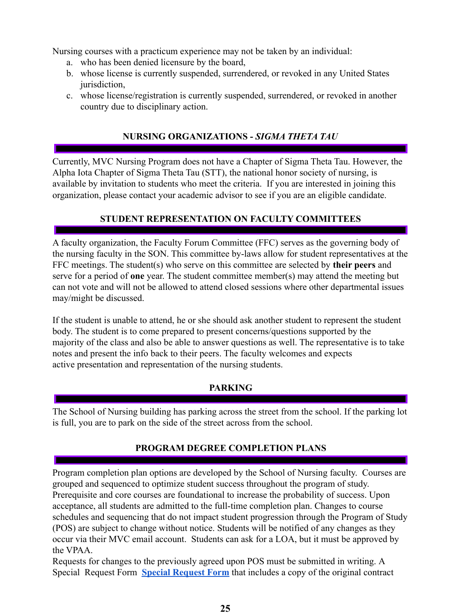Nursing courses with a practicum experience may not be taken by an individual:

- a. who has been denied licensure by the board,
- b. whose license is currently suspended, surrendered, or revoked in any United States jurisdiction,
- c. whose license/registration is currently suspended, surrendered, or revoked in another country due to disciplinary action.

# **NURSING ORGANIZATIONS -** *SIGMA THETA TAU*

<span id="page-24-0"></span>Currently, MVC Nursing Program does not have a Chapter of Sigma Theta Tau. However, the Alpha Iota Chapter of Sigma Theta Tau (STT), the national honor society of nursing, is available by invitation to students who meet the criteria. If you are interested in joining this organization, please contact your academic advisor to see if you are an eligible candidate.

# **STUDENT REPRESENTATION ON FACULTY COMMITTEES**

<span id="page-24-1"></span>A faculty organization, the Faculty Forum Committee (FFC) serves as the governing body of the nursing faculty in the SON. This committee by-laws allow for student representatives at the FFC meetings. The student(s) who serve on this committee are selected by **their peers** and serve for a period of **one** year. The student committee member(s) may attend the meeting but can not vote and will not be allowed to attend closed sessions where other departmental issues may/might be discussed.

If the student is unable to attend, he or she should ask another student to represent the student body. The student is to come prepared to present concerns/questions supported by the majority of the class and also be able to answer questions as well. The representative is to take notes and present the info back to their peers. The faculty welcomes and expects active presentation and representation of the nursing students.

#### **PARKING**

<span id="page-24-2"></span>The School of Nursing building has parking across the street from the school. If the parking lot is full, you are to park on the side of the street across from the school.

# **PROGRAM DEGREE COMPLETION PLANS**

<span id="page-24-3"></span>Program completion plan options are developed by the School of Nursing faculty. Courses are grouped and sequenced to optimize student success throughout the program of study. Prerequisite and core courses are foundational to increase the probability of success. Upon acceptance, all students are admitted to the full-time completion plan. Changes to course schedules and sequencing that do not impact student progression through the Program of Study (POS) are subject to change without notice. Students will be notified of any changes as they occur via their MVC email account. Students can ask for a LOA, but it must be approved by the VPAA.

Requests for changes to the previously agreed upon POS must be submitted in writing. A Special Request Form **[Special Request Form](https://drive.google.com/file/d/1HQ8wywZC7N8YczihRpwmCxdHQYl4zqpB/view?usp=sharing)** that includes a copy of the original contract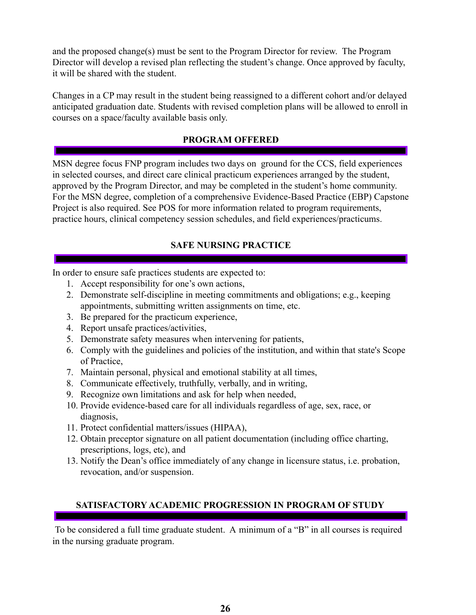and the proposed change(s) must be sent to the Program Director for review. The Program Director will develop a revised plan reflecting the student's change. Once approved by faculty, it will be shared with the student.

Changes in a CP may result in the student being reassigned to a different cohort and/or delayed anticipated graduation date. Students with revised completion plans will be allowed to enroll in courses on a space/faculty available basis only.

#### **PROGRAM OFFERED**

<span id="page-25-0"></span>MSN degree focus FNP program includes two days on ground for the CCS, field experiences in selected courses, and direct care clinical practicum experiences arranged by the student, approved by the Program Director, and may be completed in the student's home community. For the MSN degree, completion of a comprehensive Evidence-Based Practice (EBP) Capstone Project is also required. See POS for more information related to program requirements, practice hours, clinical competency session schedules, and field experiences/practicums.

# **SAFE NURSING PRACTICE**

<span id="page-25-1"></span>In order to ensure safe practices students are expected to:

- 1. Accept responsibility for one's own actions,
- 2. Demonstrate self-discipline in meeting commitments and obligations; e.g., keeping appointments, submitting written assignments on time, etc.
- 3. Be prepared for the practicum experience,
- 4. Report unsafe practices/activities,
- 5. Demonstrate safety measures when intervening for patients,
- 6. Comply with the guidelines and policies of the institution, and within that state's Scope of Practice,
- 7. Maintain personal, physical and emotional stability at all times,
- 8. Communicate effectively, truthfully, verbally, and in writing,
- 9. Recognize own limitations and ask for help when needed,
- 10. Provide evidence-based care for all individuals regardless of age, sex, race, or diagnosis,
- 11. Protect confidential matters/issues (HIPAA),
- 12. Obtain preceptor signature on all patient documentation (including office charting, prescriptions, logs, etc), and
- 13. Notify the Dean's office immediately of any change in licensure status, i.e. probation, revocation, and/or suspension.

# <span id="page-25-2"></span>**SATISFACTORY ACADEMIC PROGRESSION IN PROGRAM OF STUDY**

To be considered a full time graduate student. A minimum of a "B" in all courses is required in the nursing graduate program.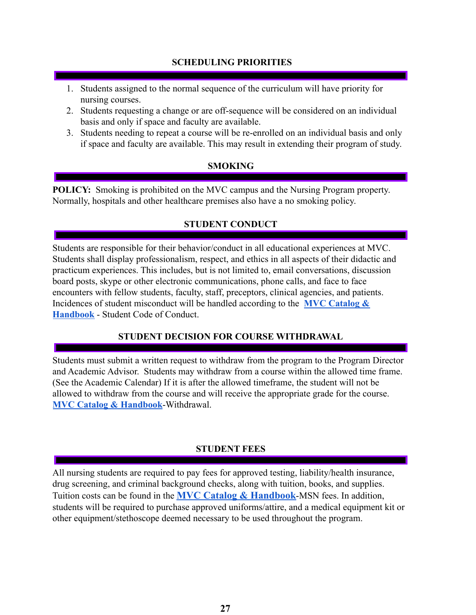#### **SCHEDULING PRIORITIES**

- <span id="page-26-0"></span>1. Students assigned to the normal sequence of the curriculum will have priority for nursing courses.
- 2. Students requesting a change or are off-sequence will be considered on an individual basis and only if space and faculty are available.
- 3. Students needing to repeat a course will be re-enrolled on an individual basis and only if space and faculty are available. This may result in extending their program of study.

## **SMOKING**

<span id="page-26-1"></span>**POLICY:** Smoking is prohibited on the MVC campus and the Nursing Program property. Normally, hospitals and other healthcare premises also have a no smoking policy.

# **STUDENT CONDUCT**

<span id="page-26-2"></span>Students are responsible for their behavior/conduct in all educational experiences at MVC. Students shall display professionalism, respect, and ethics in all aspects of their didactic and practicum experiences. This includes, but is not limited to, email conversations, discussion board posts, skype or other electronic communications, phone calls, and face to face encounters with fellow students, faculty, staff, preceptors, clinical agencies, and patients. Incidences of student misconduct will be handled according to the **[MVC Catalog &](https://www.moval.edu/academics/academic-catalog/) [Handbook](https://www.moval.edu/academics/academic-catalog/)** - Student Code of Conduct.

# **STUDENT DECISION FOR COURSE WITHDRAWAL**

Students must submit a written request to withdraw from the program to the Program Director and Academic Advisor. Students may withdraw from a course within the allowed time frame. (See the Academic Calendar) If it is after the allowed timeframe, the student will not be allowed to withdraw from the course and will receive the appropriate grade for the course. **[MVC Catalog & Handbook](https://www.moval.edu/academics/academic-catalog/)**-Withdrawal.

# **STUDENT FEES**

<span id="page-26-3"></span>All nursing students are required to pay fees for approved testing, liability/health insurance, drug screening, and criminal background checks, along with tuition, books, and supplies. Tuition costs can be found in the **MVC Catalog & [Handbook](https://www.moval.edu/academics/academic-catalog/)**-MSN fees. In addition, students will be required to purchase approved uniforms/attire, and a medical equipment kit or other equipment/stethoscope deemed necessary to be used throughout the program.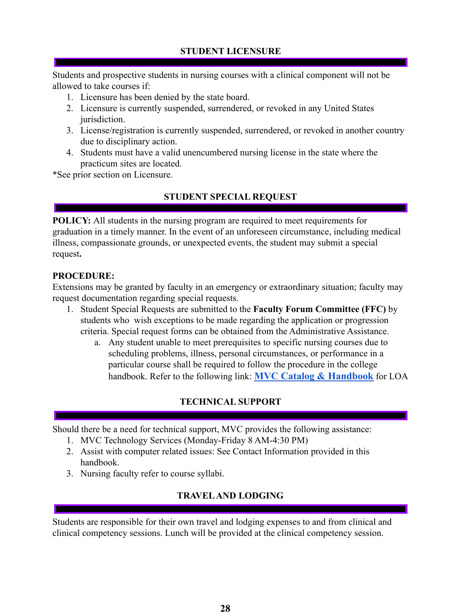## **STUDENT LICENSURE**

<span id="page-27-0"></span>Students and prospective students in nursing courses with a clinical component will not be allowed to take courses if:

- 1. Licensure has been denied by the state board.
- 2. Licensure is currently suspended, surrendered, or revoked in any United States jurisdiction.
- 3. License/registration is currently suspended, surrendered, or revoked in another country due to disciplinary action.
- 4. Students must have a valid unencumbered nursing license in the state where the practicum sites are located.

<span id="page-27-1"></span>\*See prior section on Licensure.

## **STUDENT SPECIAL REQUEST**

**POLICY:** All students in the nursing program are required to meet requirements for graduation in a timely manner. In the event of an unforeseen circumstance, including medical illness, compassionate grounds, or unexpected events, the student may submit a special request**.**

#### **PROCEDURE:**

Extensions may be granted by faculty in an emergency or extraordinary situation; faculty may request documentation regarding special requests.

- 1. Student Special Requests are submitted to the **Faculty Forum Committee (FFC)** by students who wish exceptions to be made regarding the application or progression criteria. Special request forms can be obtained from the Administrative Assistance.
	- a. Any student unable to meet prerequisites to specific nursing courses due to scheduling problems, illness, personal circumstances, or performance in a particular course shall be required to follow the procedure in the college handbook. Refer to the following link: **MVC Catalog & [Handbook](https://www.moval.edu/academics/academic-catalog/)** for LOA

# **TECHNICAL SUPPORT**

<span id="page-27-2"></span>Should there be a need for technical support, MVC provides the following assistance:

- 1. MVC Technology Services (Monday-Friday 8 AM-4:30 PM)
- 2. Assist with computer related issues: See Contact Information provided in this handbook.
- <span id="page-27-3"></span>3. Nursing faculty refer to course syllabi.

# **TRAVELAND LODGING**

Students are responsible for their own travel and lodging expenses to and from clinical and clinical competency sessions. Lunch will be provided at the clinical competency session.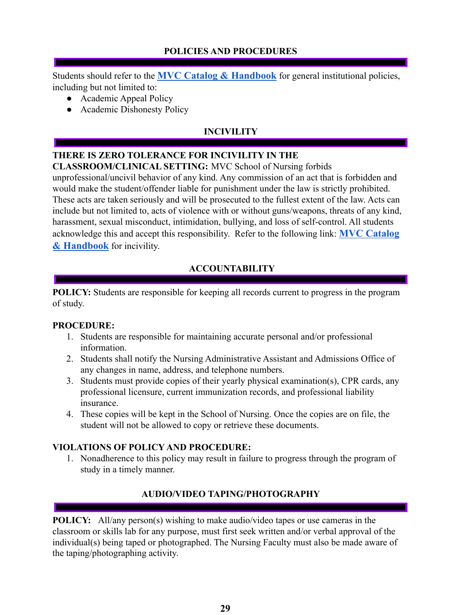# **POLICIES AND PROCEDURES**

<span id="page-28-0"></span>Students should refer to the **MVC Catalog & [Handbook](https://www.moval.edu/academics/academic-catalog/)** for general institutional policies, including but not limited to:

- Academic Appeal Policy
- Academic Dishonesty Policy

# **INCIVILITY**

# <span id="page-28-1"></span>**THERE IS ZERO TOLERANCE FOR INCIVILITY IN THE**

## **CLASSROOM/CLINICAL SETTING:** MVC School of Nursing forbids

unprofessional/uncivil behavior of any kind. Any commission of an act that is forbidden and would make the student/offender liable for punishment under the law is strictly prohibited. These acts are taken seriously and will be prosecuted to the fullest extent of the law. Acts can include but not limited to, acts of violence with or without guns/weapons, threats of any kind, harassment, sexual misconduct, intimidation, bullying, and loss of self-control. All students acknowledge this and accept this responsibility. Refer to the following link: **MVC [Catalog](https://www.moval.edu/academics/academic-catalog/) & [Handbook](https://www.moval.edu/academics/academic-catalog/)** for incivility.

# **ACCOUNTABILITY**

<span id="page-28-2"></span>**POLICY:** Students are responsible for keeping all records current to progress in the program of study.

#### **PROCEDURE:**

- 1. Students are responsible for maintaining accurate personal and/or professional information.
- 2. Students shall notify the Nursing Administrative Assistant and Admissions Office of any changes in name, address, and telephone numbers.
- 3. Students must provide copies of their yearly physical examination(s), CPR cards, any professional licensure, current immunization records, and professional liability insurance.
- 4. These copies will be kept in the School of Nursing. Once the copies are on file, the student will not be allowed to copy or retrieve these documents.

# **VIOLATIONS OF POLICY AND PROCEDURE:**

1. Nonadherence to this policy may result in failure to progress through the program of study in a timely manner.

# **AUDIO/VIDEO TAPING/PHOTOGRAPHY**

<span id="page-28-3"></span>**POLICY:** All/any person(s) wishing to make audio/video tapes or use cameras in the classroom or skills lab for any purpose, must first seek written and/or verbal approval of the individual(s) being taped or photographed. The Nursing Faculty must also be made aware of the taping/photographing activity.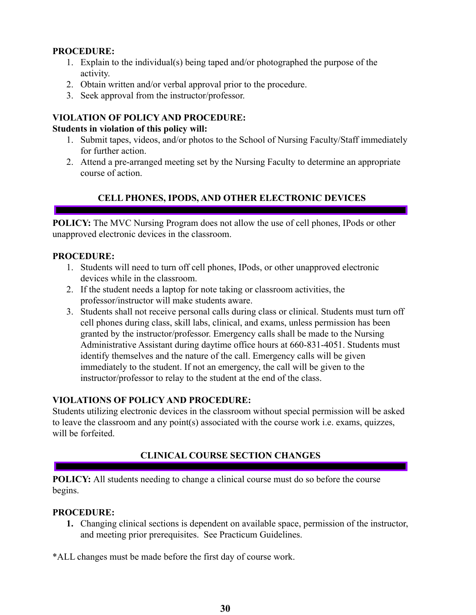#### **PROCEDURE:**

- 1. Explain to the individual(s) being taped and/or photographed the purpose of the activity.
- 2. Obtain written and/or verbal approval prior to the procedure.
- 3. Seek approval from the instructor/professor.

# **VIOLATION OF POLICY AND PROCEDURE:**

## **Students in violation of this policy will:**

- 1. Submit tapes, videos, and/or photos to the School of Nursing Faculty/Staff immediately for further action.
- 2. Attend a pre-arranged meeting set by the Nursing Faculty to determine an appropriate course of action.

# **CELL PHONES, IPODS, AND OTHER ELECTRONIC DEVICES**

<span id="page-29-0"></span>**POLICY:** The MVC Nursing Program does not allow the use of cell phones, IPods or other unapproved electronic devices in the classroom.

## **PROCEDURE:**

- 1. Students will need to turn off cell phones, IPods, or other unapproved electronic devices while in the classroom.
- 2. If the student needs a laptop for note taking or classroom activities, the professor/instructor will make students aware.
- 3. Students shall not receive personal calls during class or clinical. Students must turn off cell phones during class, skill labs, clinical, and exams, unless permission has been granted by the instructor/professor. Emergency calls shall be made to the Nursing Administrative Assistant during daytime office hours at 660-831-4051. Students must identify themselves and the nature of the call. Emergency calls will be given immediately to the student. If not an emergency, the call will be given to the instructor/professor to relay to the student at the end of the class.

# **VIOLATIONS OF POLICY AND PROCEDURE:**

Students utilizing electronic devices in the classroom without special permission will be asked to leave the classroom and any point(s) associated with the course work i.e. exams, quizzes, will be forfeited.

# **CLINICAL COURSE SECTION CHANGES**

<span id="page-29-1"></span>**POLICY:** All students needing to change a clinical course must do so before the course begins.

#### **PROCEDURE:**

**1.** Changing clinical sections is dependent on available space, permission of the instructor, and meeting prior prerequisites. See Practicum Guidelines.

\*ALL changes must be made before the first day of course work.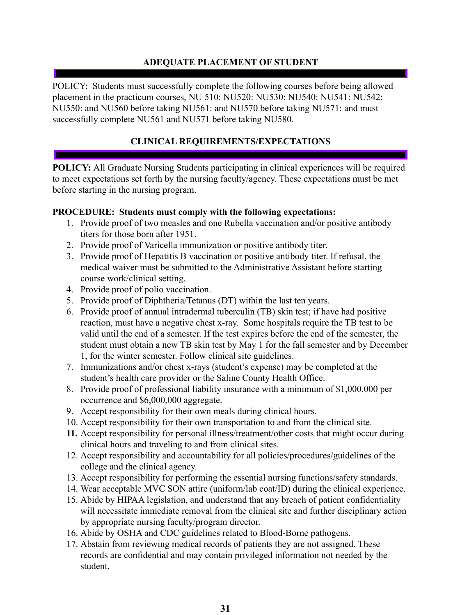# **ADEQUATE PLACEMENT OF STUDENT**

<span id="page-30-0"></span>POLICY: Students must successfully complete the following courses before being allowed placement in the practicum courses, NU 510: NU520: NU530: NU540: NU541: NU542: NU550: and NU560 before taking NU561: and NU570 before taking NU571: and must successfully complete NU561 and NU571 before taking NU580.

# **CLINICAL REQUIREMENTS/EXPECTATIONS**

<span id="page-30-1"></span>**POLICY:** All Graduate Nursing Students participating in clinical experiences will be required to meet expectations set forth by the nursing faculty/agency. These expectations must be met before starting in the nursing program.

## **PROCEDURE: Students must comply with the following expectations:**

- 1. Provide proof of two measles and one Rubella vaccination and/or positive antibody titers for those born after 1951.
- 2. Provide proof of Varicella immunization or positive antibody titer.
- 3. Provide proof of Hepatitis B vaccination or positive antibody titer. If refusal, the medical waiver must be submitted to the Administrative Assistant before starting course work/clinical setting.
- 4. Provide proof of polio vaccination.
- 5. Provide proof of Diphtheria/Tetanus (DT) within the last ten years.
- 6. Provide proof of annual intradermal tuberculin (TB) skin test; if have had positive reaction, must have a negative chest x-ray. Some hospitals require the TB test to be valid until the end of a semester. If the test expires before the end of the semester, the student must obtain a new TB skin test by May 1 for the fall semester and by December 1, for the winter semester. Follow clinical site guidelines.
- 7. Immunizations and/or chest x-rays (student's expense) may be completed at the student's health care provider or the Saline County Health Office.
- 8. Provide proof of professional liability insurance with a minimum of \$1,000,000 per occurrence and \$6,000,000 aggregate.
- 9. Accept responsibility for their own meals during clinical hours.
- 10. Accept responsibility for their own transportation to and from the clinical site.
- **11.** Accept responsibility for personal illness/treatment/other costs that might occur during clinical hours and traveling to and from clinical sites.
- 12. Accept responsibility and accountability for all policies/procedures/guidelines of the college and the clinical agency.
- 13. Accept responsibility for performing the essential nursing functions/safety standards.
- 14. Wear acceptable MVC SON attire (uniform/lab coat/ID) during the clinical experience.
- 15. Abide by HIPAA legislation, and understand that any breach of patient confidentiality will necessitate immediate removal from the clinical site and further disciplinary action by appropriate nursing faculty/program director.
- 16. Abide by OSHA and CDC guidelines related to Blood-Borne pathogens.
- 17. Abstain from reviewing medical records of patients they are not assigned. These records are confidential and may contain privileged information not needed by the student.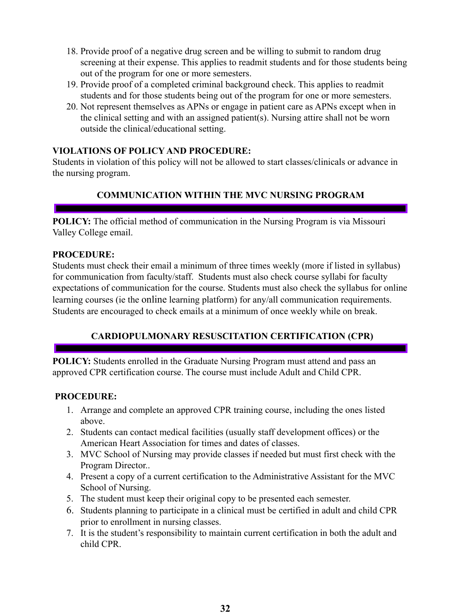- 18. Provide proof of a negative drug screen and be willing to submit to random drug screening at their expense. This applies to readmit students and for those students being out of the program for one or more semesters.
- 19. Provide proof of a completed criminal background check. This applies to readmit students and for those students being out of the program for one or more semesters.
- 20. Not represent themselves as APNs or engage in patient care as APNs except when in the clinical setting and with an assigned patient(s). Nursing attire shall not be worn outside the clinical/educational setting.

## **VIOLATIONS OF POLICY AND PROCEDURE:**

Students in violation of this policy will not be allowed to start classes/clinicals or advance in the nursing program.

# **COMMUNICATION WITHIN THE MVC NURSING PROGRAM**

<span id="page-31-0"></span>**POLICY:** The official method of communication in the Nursing Program is via Missouri Valley College email.

#### **PROCEDURE:**

Students must check their email a minimum of three times weekly (more if listed in syllabus) for communication from faculty/staff. Students must also check course syllabi for faculty expectations of communication for the course. Students must also check the syllabus for online learning courses (ie the online learning platform) for any/all communication requirements. Students are encouraged to check emails at a minimum of once weekly while on break.

# **CARDIOPULMONARY RESUSCITATION CERTIFICATION (CPR)**

<span id="page-31-1"></span>**POLICY:** Students enrolled in the Graduate Nursing Program must attend and pass an approved CPR certification course. The course must include Adult and Child CPR.

- 1. Arrange and complete an approved CPR training course, including the ones listed above.
- 2. Students can contact medical facilities (usually staff development offices) or the American Heart Association for times and dates of classes.
- 3. MVC School of Nursing may provide classes if needed but must first check with the Program Director..
- 4. Present a copy of a current certification to the Administrative Assistant for the MVC School of Nursing.
- 5. The student must keep their original copy to be presented each semester.
- 6. Students planning to participate in a clinical must be certified in adult and child CPR prior to enrollment in nursing classes.
- 7. It is the student's responsibility to maintain current certification in both the adult and child CPR.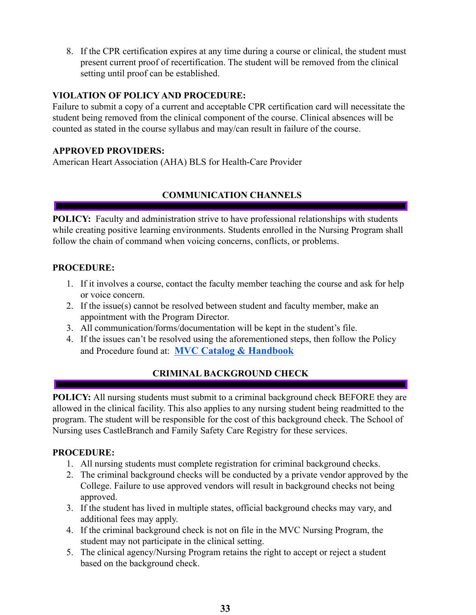8. If the CPR certification expires at any time during a course or clinical, the student must present current proof of recertification. The student will be removed from the clinical setting until proof can be established.

#### **VIOLATION OF POLICY AND PROCEDURE:**

Failure to submit a copy of a current and acceptable CPR certification card will necessitate the student being removed from the clinical component of the course. Clinical absences will be counted as stated in the course syllabus and may/can result in failure of the course.

#### **APPROVED PROVIDERS:**

American Heart Association (AHA) BLS for Health-Care Provider

# **COMMUNICATION CHANNELS**

<span id="page-32-0"></span>**POLICY:** Faculty and administration strive to have professional relationships with students while creating positive learning environments. Students enrolled in the Nursing Program shall follow the chain of command when voicing concerns, conflicts, or problems.

## **PROCEDURE:**

- 1. If it involves a course, contact the faculty member teaching the course and ask for help or voice concern.
- 2. If the issue(s) cannot be resolved between student and faculty member, make an appointment with the Program Director.
- 3. All communication/forms/documentation will be kept in the student's file.
- 4. If the issues can't be resolved using the aforementioned steps, then follow the Policy and Procedure found at: **MVC Catalog & [Handbook](https://www.moval.edu/academics/academic-catalog/)**

# **CRIMINAL BACKGROUND CHECK**

<span id="page-32-1"></span>**POLICY:** All nursing students must submit to a criminal background check BEFORE they are allowed in the clinical facility. This also applies to any nursing student being readmitted to the program. The student will be responsible for the cost of this background check. The School of Nursing uses CastleBranch and Family Safety Care Registry for these services.

- 1. All nursing students must complete registration for criminal background checks.
- 2. The criminal background checks will be conducted by a private vendor approved by the College. Failure to use approved vendors will result in background checks not being approved.
- 3. If the student has lived in multiple states, official background checks may vary, and additional fees may apply.
- 4. If the criminal background check is not on file in the MVC Nursing Program, the student may not participate in the clinical setting.
- 5. The clinical agency/Nursing Program retains the right to accept or reject a student based on the background check.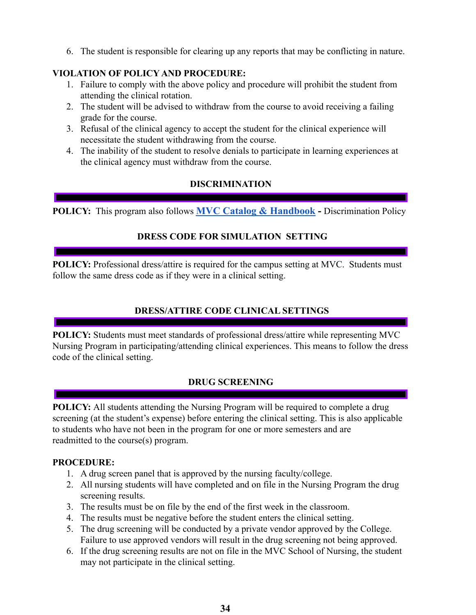6. The student is responsible for clearing up any reports that may be conflicting in nature.

## **VIOLATION OF POLICY AND PROCEDURE:**

- 1. Failure to comply with the above policy and procedure will prohibit the student from attending the clinical rotation.
- 2. The student will be advised to withdraw from the course to avoid receiving a failing grade for the course.
- 3. Refusal of the clinical agency to accept the student for the clinical experience will necessitate the student withdrawing from the course.
- 4. The inability of the student to resolve denials to participate in learning experiences at the clinical agency must withdraw from the course.

# **DISCRIMINATION**

<span id="page-33-1"></span><span id="page-33-0"></span>**POLICY:** This program also follows **MVC Catalog & [Handbook](https://www.moval.edu/academics/academic-catalog/) -** Discrimination Policy

# **DRESS CODE FOR SIMULATION SETTING**

**POLICY:** Professional dress/attire is required for the campus setting at MVC. Students must follow the same dress code as if they were in a clinical setting.

# **DRESS/ATTIRE CODE CLINICAL SETTINGS**

**POLICY:** Students must meet standards of professional dress/attire while representing MVC Nursing Program in participating/attending clinical experiences. This means to follow the dress code of the clinical setting.

#### **DRUG SCREENING**

<span id="page-33-2"></span>**POLICY:** All students attending the Nursing Program will be required to complete a drug screening (at the student's expense) before entering the clinical setting. This is also applicable to students who have not been in the program for one or more semesters and are readmitted to the course(s) program.

- 1. A drug screen panel that is approved by the nursing faculty/college.
- 2. All nursing students will have completed and on file in the Nursing Program the drug screening results.
- 3. The results must be on file by the end of the first week in the classroom.
- 4. The results must be negative before the student enters the clinical setting.
- 5. The drug screening will be conducted by a private vendor approved by the College. Failure to use approved vendors will result in the drug screening not being approved.
- 6. If the drug screening results are not on file in the MVC School of Nursing, the student may not participate in the clinical setting.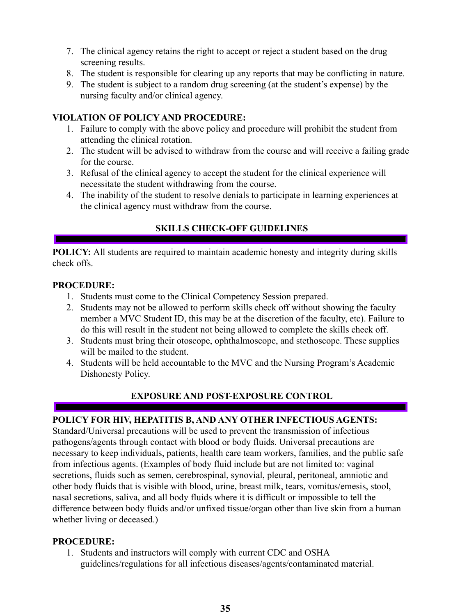- 7. The clinical agency retains the right to accept or reject a student based on the drug screening results.
- 8. The student is responsible for clearing up any reports that may be conflicting in nature.
- 9. The student is subject to a random drug screening (at the student's expense) by the nursing faculty and/or clinical agency.

#### **VIOLATION OF POLICY AND PROCEDURE:**

- 1. Failure to comply with the above policy and procedure will prohibit the student from attending the clinical rotation.
- 2. The student will be advised to withdraw from the course and will receive a failing grade for the course.
- 3. Refusal of the clinical agency to accept the student for the clinical experience will necessitate the student withdrawing from the course.
- 4. The inability of the student to resolve denials to participate in learning experiences at the clinical agency must withdraw from the course.

# **SKILLS CHECK-OFF GUIDELINES**

<span id="page-34-0"></span>**POLICY:** All students are required to maintain academic honesty and integrity during skills check offs.

#### **PROCEDURE:**

- 1. Students must come to the Clinical Competency Session prepared.
- 2. Students may not be allowed to perform skills check off without showing the faculty member a MVC Student ID, this may be at the discretion of the faculty, etc). Failure to do this will result in the student not being allowed to complete the skills check off.
- 3. Students must bring their otoscope, ophthalmoscope, and stethoscope. These supplies will be mailed to the student.
- 4. Students will be held accountable to the MVC and the Nursing Program's Academic Dishonesty Policy.

# **EXPOSURE AND POST-EXPOSURE CONTROL**

# <span id="page-34-1"></span>**POLICY FOR HIV, HEPATITIS B, AND ANY OTHER INFECTIOUS AGENTS:**

Standard/Universal precautions will be used to prevent the transmission of infectious pathogens/agents through contact with blood or body fluids. Universal precautions are necessary to keep individuals, patients, health care team workers, families, and the public safe from infectious agents. (Examples of body fluid include but are not limited to: vaginal secretions, fluids such as semen, cerebrospinal, synovial, pleural, peritoneal, amniotic and other body fluids that is visible with blood, urine, breast milk, tears, vomitus/emesis, stool, nasal secretions, saliva, and all body fluids where it is difficult or impossible to tell the difference between body fluids and/or unfixed tissue/organ other than live skin from a human whether living or deceased.)

#### **PROCEDURE:**

1. Students and instructors will comply with current CDC and OSHA guidelines/regulations for all infectious diseases/agents/contaminated material.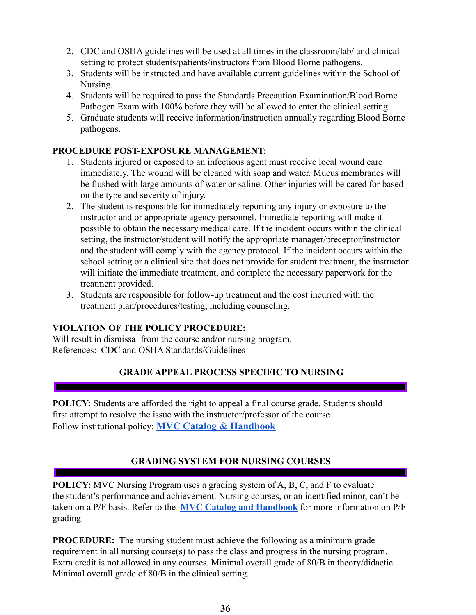- 2. CDC and OSHA guidelines will be used at all times in the classroom/lab/ and clinical setting to protect students/patients/instructors from Blood Borne pathogens.
- 3. Students will be instructed and have available current guidelines within the School of Nursing.
- 4. Students will be required to pass the Standards Precaution Examination/Blood Borne Pathogen Exam with 100% before they will be allowed to enter the clinical setting.
- 5. Graduate students will receive information/instruction annually regarding Blood Borne pathogens.

#### **PROCEDURE POST-EXPOSURE MANAGEMENT:**

- 1. Students injured or exposed to an infectious agent must receive local wound care immediately. The wound will be cleaned with soap and water. Mucus membranes will be flushed with large amounts of water or saline. Other injuries will be cared for based on the type and severity of injury.
- 2. The student is responsible for immediately reporting any injury or exposure to the instructor and or appropriate agency personnel. Immediate reporting will make it possible to obtain the necessary medical care. If the incident occurs within the clinical setting, the instructor/student will notify the appropriate manager/preceptor/instructor and the student will comply with the agency protocol. If the incident occurs within the school setting or a clinical site that does not provide for student treatment, the instructor will initiate the immediate treatment, and complete the necessary paperwork for the treatment provided.
- 3. Students are responsible for follow-up treatment and the cost incurred with the treatment plan/procedures/testing, including counseling.

#### **VIOLATION OF THE POLICY PROCEDURE:**

Will result in dismissal from the course and/or nursing program. References: CDC and OSHA Standards/Guidelines

# **GRADE APPEAL PROCESS SPECIFIC TO NURSING**

<span id="page-35-0"></span>**POLICY:** Students are afforded the right to appeal a final course grade. Students should first attempt to resolve the issue with the instructor/professor of the course. Follow institutional policy: **MVC Catalog & [Handbook](https://www.moval.edu/academics/academic-catalog/)**

# **GRADING SYSTEM FOR NURSING COURSES**

<span id="page-35-1"></span>**POLICY:** MVC Nursing Program uses a grading system of A, B, C, and F to evaluate the student's performance and achievement. Nursing courses, or an identified minor, can't be taken on a P/F basis. Refer to the **[MVC Catalog and](https://www.moval.edu/academics/academic-catalog/) Handbook** for more information on P/F grading.

**PROCEDURE:** The nursing student must achieve the following as a minimum grade requirement in all nursing course(s) to pass the class and progress in the nursing program. Extra credit is not allowed in any courses. Minimal overall grade of 80/B in theory/didactic. Minimal overall grade of 80/B in the clinical setting.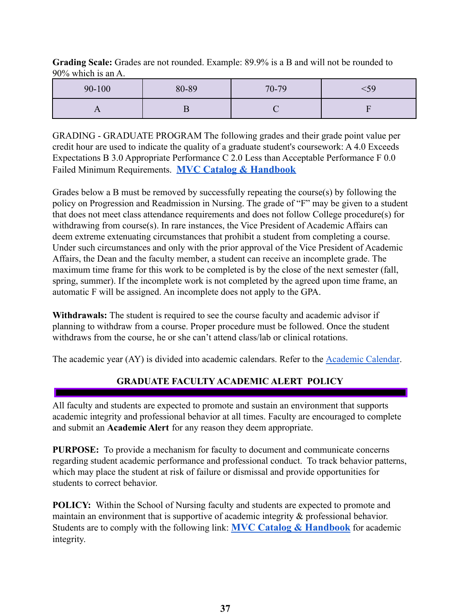**Grading Scale:** Grades are not rounded. Example: 89.9% is a B and will not be rounded to 90% which is an A.

| 90-100 | 80-89 | 70-79 | 59 |
|--------|-------|-------|----|
|        |       |       |    |

GRADING - GRADUATE PROGRAM The following grades and their grade point value per credit hour are used to indicate the quality of a graduate student's coursework: A 4.0 Exceeds Expectations B 3.0 Appropriate Performance C 2.0 Less than Acceptable Performance F 0.0 Failed Minimum Requirements. **MVC Catalog & [Handbook](https://www.moval.edu/academics/academic-catalog/)**

Grades below a B must be removed by successfully repeating the course(s) by following the policy on Progression and Readmission in Nursing. The grade of "F" may be given to a student that does not meet class attendance requirements and does not follow College procedure(s) for withdrawing from course(s). In rare instances, the Vice President of Academic Affairs can deem extreme extenuating circumstances that prohibit a student from completing a course. Under such circumstances and only with the prior approval of the Vice President of Academic Affairs, the Dean and the faculty member, a student can receive an incomplete grade. The maximum time frame for this work to be completed is by the close of the next semester (fall, spring, summer). If the incomplete work is not completed by the agreed upon time frame, an automatic F will be assigned. An incomplete does not apply to the GPA.

**Withdrawals:** The student is required to see the course faculty and academic advisor if planning to withdraw from a course. Proper procedure must be followed. Once the student withdraws from the course, he or she can't attend class/lab or clinical rotations.

<span id="page-36-0"></span>The academic year (AY) is divided into academic calendars. Refer to the [Academic Calendar](https://www.moval.edu/academics/academic-calendar/).

# **GRADUATE FACULTY ACADEMIC ALERT POLICY**

All faculty and students are expected to promote and sustain an environment that supports academic integrity and professional behavior at all times. Faculty are encouraged to complete and submit an **Academic Alert** for any reason they deem appropriate.

**PURPOSE:** To provide a mechanism for faculty to document and communicate concerns regarding student academic performance and professional conduct. To track behavior patterns, which may place the student at risk of failure or dismissal and provide opportunities for students to correct behavior.

**POLICY:** Within the School of Nursing faculty and students are expected to promote and maintain an environment that is supportive of academic integrity & professional behavior. Students are to comply with the following link: **MVC Catalog & [Handbook](https://www.moval.edu/academics/academic-catalog/)** for academic integrity.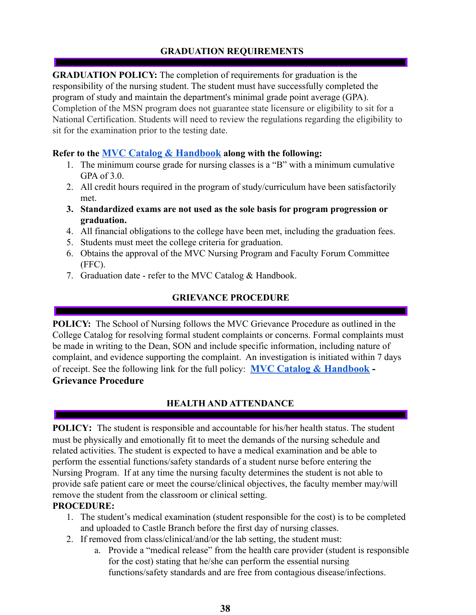# **GRADUATION REQUIREMENTS**

<span id="page-37-0"></span>**GRADUATION POLICY:** The completion of requirements for graduation is the responsibility of the nursing student. The student must have successfully completed the program of study and maintain the department's minimal grade point average (GPA). Completion of the MSN program does not guarantee state licensure or eligibility to sit for a National Certification. Students will need to review the regulations regarding the eligibility to sit for the examination prior to the testing date.

#### **Refer to the MVC Catalog & [Handbook](https://www.moval.edu/academics/academic-catalog/) along with the following:**

- 1. The minimum course grade for nursing classes is a "B" with a minimum cumulative GPA of 3.0.
- 2. All credit hours required in the program of study/curriculum have been satisfactorily met.
- **3. Standardized exams are not used as the sole basis for program progression or graduation.**
- 4. All financial obligations to the college have been met, including the graduation fees.
- 5. Students must meet the college criteria for graduation.
- 6. Obtains the approval of the MVC Nursing Program and Faculty Forum Committee (FFC).
- 7. Graduation date refer to the MVC Catalog & Handbook.

# **GRIEVANCE PROCEDURE**

<span id="page-37-1"></span>**POLICY:** The School of Nursing follows the MVC Grievance Procedure as outlined in the College Catalog for resolving formal student complaints or concerns. Formal complaints must be made in writing to the Dean, SON and include specific information, including nature of complaint, and evidence supporting the complaint. An investigation is initiated within 7 days of receipt. See the following link for the full policy: **MVC Catalog & [Handbook](https://www.moval.edu/academics/academic-catalog/) - Grievance Procedure**

# **HEALTH AND ATTENDANCE**

<span id="page-37-2"></span>**POLICY:** The student is responsible and accountable for his/her health status. The student must be physically and emotionally fit to meet the demands of the nursing schedule and related activities. The student is expected to have a medical examination and be able to perform the essential functions/safety standards of a student nurse before entering the Nursing Program. If at any time the nursing faculty determines the student is not able to provide safe patient care or meet the course/clinical objectives, the faculty member may/will remove the student from the classroom or clinical setting.

- 1. The student's medical examination (student responsible for the cost) is to be completed and uploaded to Castle Branch before the first day of nursing classes.
- 2. If removed from class/clinical/and/or the lab setting, the student must:
	- a. Provide a "medical release" from the health care provider (student is responsible for the cost) stating that he/she can perform the essential nursing functions/safety standards and are free from contagious disease/infections.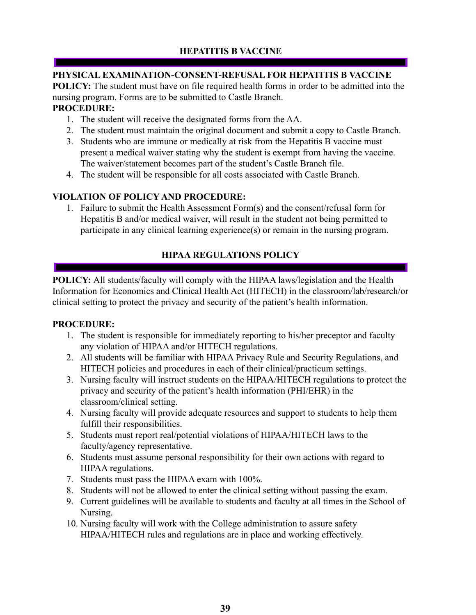# <span id="page-38-0"></span>**PHYSICAL EXAMINATION-CONSENT-REFUSAL FOR HEPATITIS B VACCINE**

**POLICY:** The student must have on file required health forms in order to be admitted into the nursing program. Forms are to be submitted to Castle Branch.

#### **PROCEDURE:**

- 1. The student will receive the designated forms from the AA.
- 2. The student must maintain the original document and submit a copy to Castle Branch.
- 3. Students who are immune or medically at risk from the Hepatitis B vaccine must present a medical waiver stating why the student is exempt from having the vaccine. The waiver/statement becomes part of the student's Castle Branch file.
- 4. The student will be responsible for all costs associated with Castle Branch.

# **VIOLATION OF POLICY AND PROCEDURE:**

1. Failure to submit the Health Assessment Form(s) and the consent/refusal form for Hepatitis B and/or medical waiver, will result in the student not being permitted to participate in any clinical learning experience(s) or remain in the nursing program.

# **HIPAA REGULATIONS POLICY**

<span id="page-38-1"></span>**POLICY:** All students/faculty will comply with the HIPAA laws/legislation and the Health Information for Economics and Clinical Health Act (HITECH) in the classroom/lab/research/or clinical setting to protect the privacy and security of the patient's health information.

- 1. The student is responsible for immediately reporting to his/her preceptor and faculty any violation of HIPAA and/or HITECH regulations.
- 2. All students will be familiar with HIPAA Privacy Rule and Security Regulations, and HITECH policies and procedures in each of their clinical/practicum settings.
- 3. Nursing faculty will instruct students on the HIPAA/HITECH regulations to protect the privacy and security of the patient's health information (PHI/EHR) in the classroom/clinical setting.
- 4. Nursing faculty will provide adequate resources and support to students to help them fulfill their responsibilities.
- 5. Students must report real/potential violations of HIPAA/HITECH laws to the faculty/agency representative.
- 6. Students must assume personal responsibility for their own actions with regard to HIPAA regulations.
- 7. Students must pass the HIPAA exam with 100%.
- 8. Students will not be allowed to enter the clinical setting without passing the exam.
- 9. Current guidelines will be available to students and faculty at all times in the School of Nursing.
- 10. Nursing faculty will work with the College administration to assure safety HIPAA/HITECH rules and regulations are in place and working effectively.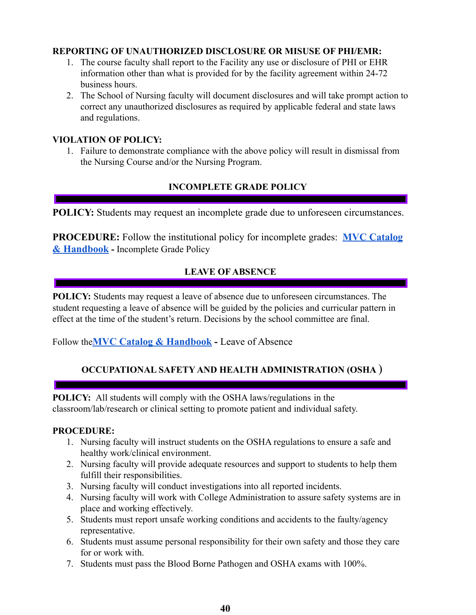#### **REPORTING OF UNAUTHORIZED DISCLOSURE OR MISUSE OF PHI/EMR:**

- 1. The course faculty shall report to the Facility any use or disclosure of PHI or EHR information other than what is provided for by the facility agreement within 24-72 business hours.
- 2. The School of Nursing faculty will document disclosures and will take prompt action to correct any unauthorized disclosures as required by applicable federal and state laws and regulations.

#### **VIOLATION OF POLICY:**

1. Failure to demonstrate compliance with the above policy will result in dismissal from the Nursing Course and/or the Nursing Program.

#### **INCOMPLETE GRADE POLICY**

<span id="page-39-0"></span>**POLICY:** Students may request an incomplete grade due to unforeseen circumstances.

**PROCEDURE:** Follow the institutional policy for incomplete grades: **MVC [Catalog](https://www.moval.edu/academics/academic-catalog/) & [Handbook](https://www.moval.edu/academics/academic-catalog/) -** Incomplete Grade Policy

#### **LEAVE OF ABSENCE**

<span id="page-39-1"></span>**POLICY:** Students may request a leave of absence due to unforeseen circumstances. The student requesting a leave of absence will be guided by the policies and curricular pattern in effect at the time of the student's return. Decisions by the school committee are final.

<span id="page-39-2"></span>Follow the**MVC Catalog & [Handbook](https://www.moval.edu/academics/academic-catalog/) -** Leave of Absence

# **OCCUPATIONAL SAFETY AND HEALTH ADMINISTRATION (OSHA** )

**POLICY:** All students will comply with the OSHA laws/regulations in the classroom/lab/research or clinical setting to promote patient and individual safety.

- 1. Nursing faculty will instruct students on the OSHA regulations to ensure a safe and healthy work/clinical environment.
- 2. Nursing faculty will provide adequate resources and support to students to help them fulfill their responsibilities.
- 3. Nursing faculty will conduct investigations into all reported incidents.
- 4. Nursing faculty will work with College Administration to assure safety systems are in place and working effectively.
- 5. Students must report unsafe working conditions and accidents to the faulty/agency representative.
- 6. Students must assume personal responsibility for their own safety and those they care for or work with.
- 7. Students must pass the Blood Borne Pathogen and OSHA exams with 100%.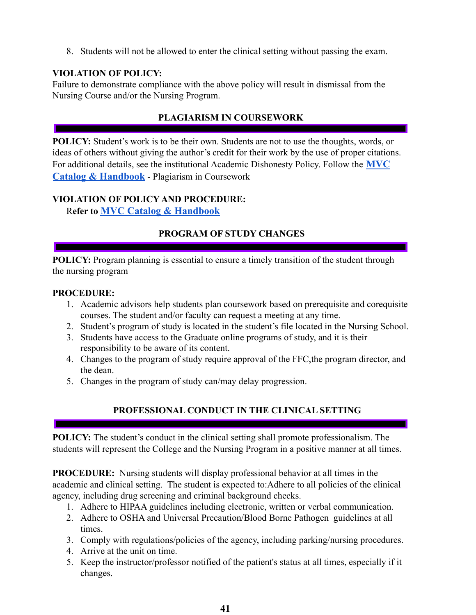8. Students will not be allowed to enter the clinical setting without passing the exam.

## **VIOLATION OF POLICY:**

Failure to demonstrate compliance with the above policy will result in dismissal from the Nursing Course and/or the Nursing Program.

# **PLAGIARISM IN COURSEWORK**

<span id="page-40-0"></span>**POLICY:** Student's work is to be their own. Students are not to use the thoughts, words, or ideas of others without giving the author's credit for their work by the use of proper citations. For additional details, see the institutional Academic Dishonesty Policy. Follow the **[MVC](https://www.moval.edu/academics/academic-catalog/) Catalog & [Handbook](https://www.moval.edu/academics/academic-catalog/)** - Plagiarism in Coursework

## **VIOLATION OF POLICY AND PROCEDURE:**

<span id="page-40-1"></span>R**efer to MVC Catalog & [Handbook](https://www.moval.edu/academics/academic-catalog/)**

## **PROGRAM OF STUDY CHANGES**

**POLICY:** Program planning is essential to ensure a timely transition of the student through the nursing program

#### **PROCEDURE:**

- 1. Academic advisors help students plan coursework based on prerequisite and corequisite courses. The student and/or faculty can request a meeting at any time.
- 2. Student's program of study is located in the student's file located in the Nursing School.
- 3. Students have access to the Graduate online programs of study, and it is their responsibility to be aware of its content.
- 4. Changes to the program of study require approval of the FFC,the program director, and the dean.
- 5. Changes in the program of study can/may delay progression.

# **PROFESSIONAL CONDUCT IN THE CLINICAL SETTING**

<span id="page-40-2"></span>**POLICY:** The student's conduct in the clinical setting shall promote professionalism. The students will represent the College and the Nursing Program in a positive manner at all times.

**PROCEDURE:** Nursing students will display professional behavior at all times in the academic and clinical setting. The student is expected to:Adhere to all policies of the clinical agency, including drug screening and criminal background checks.

- 1. Adhere to HIPAA guidelines including electronic, written or verbal communication.
- 2. Adhere to OSHA and Universal Precaution/Blood Borne Pathogen guidelines at all times.
- 3. Comply with regulations/policies of the agency, including parking/nursing procedures.
- 4. Arrive at the unit on time.
- 5. Keep the instructor/professor notified of the patient's status at all times, especially if it changes.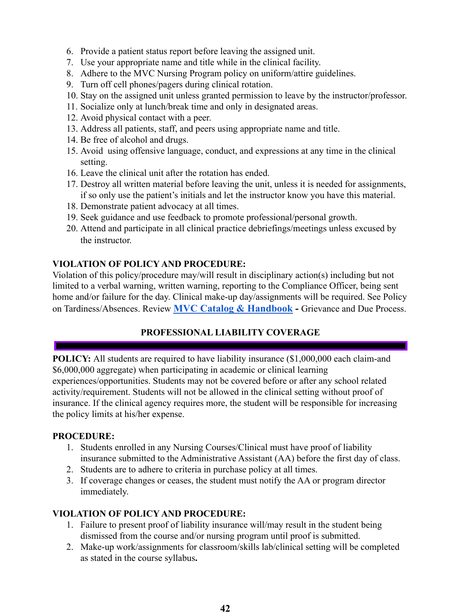- 6. Provide a patient status report before leaving the assigned unit.
- 7. Use your appropriate name and title while in the clinical facility.
- 8. Adhere to the MVC Nursing Program policy on uniform/attire guidelines.
- 9. Turn off cell phones/pagers during clinical rotation.
- 10. Stay on the assigned unit unless granted permission to leave by the instructor/professor.
- 11. Socialize only at lunch/break time and only in designated areas.
- 12. Avoid physical contact with a peer.
- 13. Address all patients, staff, and peers using appropriate name and title.
- 14. Be free of alcohol and drugs.
- 15. Avoid using offensive language, conduct, and expressions at any time in the clinical setting.
- 16. Leave the clinical unit after the rotation has ended.
- 17. Destroy all written material before leaving the unit, unless it is needed for assignments, if so only use the patient's initials and let the instructor know you have this material.
- 18. Demonstrate patient advocacy at all times.
- 19. Seek guidance and use feedback to promote professional/personal growth.
- 20. Attend and participate in all clinical practice debriefings/meetings unless excused by the instructor.

# **VIOLATION OF POLICY AND PROCEDURE:**

Violation of this policy/procedure may/will result in disciplinary action(s) including but not limited to a verbal warning, written warning, reporting to the Compliance Officer, being sent home and/or failure for the day. Clinical make-up day/assignments will be required. See Policy on Tardiness/Absences. Review **MVC Catalog & [Handbook](https://www.moval.edu/academics/academic-catalog/) -** Grievance and Due Process.

# **PROFESSIONAL LIABILITY COVERAGE**

<span id="page-41-0"></span>**POLICY:** All students are required to have liability insurance  $(\$1,000,000)$  each claim-and \$6,000,000 aggregate) when participating in academic or clinical learning experiences/opportunities. Students may not be covered before or after any school related activity/requirement. Students will not be allowed in the clinical setting without proof of insurance. If the clinical agency requires more, the student will be responsible for increasing the policy limits at his/her expense.

#### **PROCEDURE:**

- 1. Students enrolled in any Nursing Courses/Clinical must have proof of liability insurance submitted to the Administrative Assistant (AA) before the first day of class.
- 2. Students are to adhere to criteria in purchase policy at all times.
- 3. If coverage changes or ceases, the student must notify the AA or program director immediately.

# **VIOLATION OF POLICY AND PROCEDURE:**

- 1. Failure to present proof of liability insurance will/may result in the student being dismissed from the course and/or nursing program until proof is submitted.
- 2. Make-up work/assignments for classroom/skills lab/clinical setting will be completed as stated in the course syllabus**.**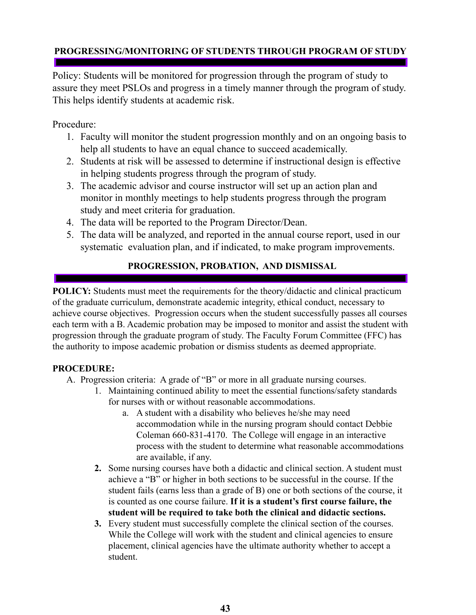# <span id="page-42-0"></span>**PROGRESSING/MONITORING OF STUDENTS THROUGH PROGRAM OF STUDY**

Policy: Students will be monitored for progression through the program of study to assure they meet PSLOs and progress in a timely manner through the program of study. This helps identify students at academic risk.

# Procedure:

- 1. Faculty will monitor the student progression monthly and on an ongoing basis to help all students to have an equal chance to succeed academically.
- 2. Students at risk will be assessed to determine if instructional design is effective in helping students progress through the program of study.
- 3. The academic advisor and course instructor will set up an action plan and monitor in monthly meetings to help students progress through the program study and meet criteria for graduation.
- 4. The data will be reported to the Program Director/Dean.
- 5. The data will be analyzed, and reported in the annual course report, used in our systematic evaluation plan, and if indicated, to make program improvements.

# **PROGRESSION, PROBATION, AND DISMISSAL**

<span id="page-42-1"></span>**POLICY:** Students must meet the requirements for the theory/didactic and clinical practicum of the graduate curriculum, demonstrate academic integrity, ethical conduct, necessary to achieve course objectives. Progression occurs when the student successfully passes all courses each term with a B. Academic probation may be imposed to monitor and assist the student with progression through the graduate program of study. The Faculty Forum Committee (FFC) has the authority to impose academic probation or dismiss students as deemed appropriate.

- A. Progression criteria: A grade of "B" or more in all graduate nursing courses.
	- 1. Maintaining continued ability to meet the essential functions/safety standards for nurses with or without reasonable accommodations.
		- a. A student with a disability who believes he/she may need accommodation while in the nursing program should contact Debbie Coleman 660-831-4170. The College will engage in an interactive process with the student to determine what reasonable accommodations are available, if any.
	- **2.** Some nursing courses have both a didactic and clinical section. A student must achieve a "B" or higher in both sections to be successful in the course. If the student fails (earns less than a grade of B) one or both sections of the course, it is counted as one course failure. **If it is a student's first course failure, the student will be required to take both the clinical and didactic sections.**
	- **3.** Every student must successfully complete the clinical section of the courses. While the College will work with the student and clinical agencies to ensure placement, clinical agencies have the ultimate authority whether to accept a student.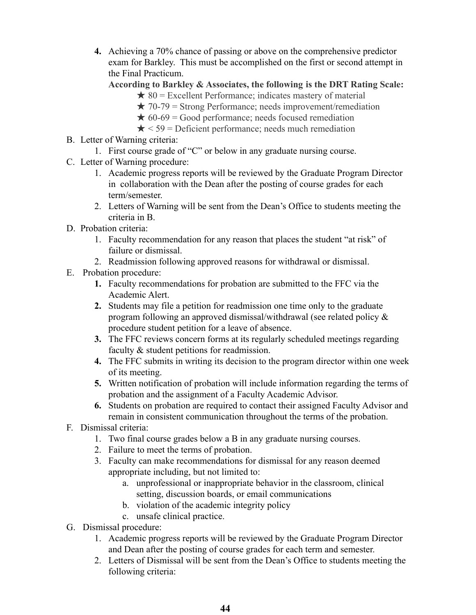**4.** Achieving a 70% chance of passing or above on the comprehensive predictor exam for Barkley. This must be accomplished on the first or second attempt in the Final Practicum.

#### **According to Barkley & Associates, the following is the DRT Rating Scale:**

- $\star$  80 = Excellent Performance; indicates mastery of material
- $\star$  70-79 = Strong Performance; needs improvement/remediation
- $\star$  60-69 = Good performance; needs focused remediation
- $\star$  < 59 = Deficient performance; needs much remediation
- B. Letter of Warning criteria:
	- 1. First course grade of "C" or below in any graduate nursing course.
- C. Letter of Warning procedure:
	- 1. Academic progress reports will be reviewed by the Graduate Program Director in collaboration with the Dean after the posting of course grades for each term/semester.
	- 2. Letters of Warning will be sent from the Dean's Office to students meeting the criteria in B.
- D. Probation criteria:
	- 1. Faculty recommendation for any reason that places the student "at risk" of failure or dismissal.
	- 2. Readmission following approved reasons for withdrawal or dismissal.
- E. Probation procedure:
	- **1.** Faculty recommendations for probation are submitted to the FFC via the Academic Alert.
	- **2.** Students may file a petition for readmission one time only to the graduate program following an approved dismissal/withdrawal (see related policy & procedure student petition for a leave of absence.
	- **3.** The FFC reviews concern forms at its regularly scheduled meetings regarding faculty & student petitions for readmission.
	- **4.** The FFC submits in writing its decision to the program director within one week of its meeting.
	- **5.** Written notification of probation will include information regarding the terms of probation and the assignment of a Faculty Academic Advisor.
	- **6.** Students on probation are required to contact their assigned Faculty Advisor and remain in consistent communication throughout the terms of the probation.
- F. Dismissal criteria:
	- 1. Two final course grades below a B in any graduate nursing courses.
	- 2. Failure to meet the terms of probation.
	- 3. Faculty can make recommendations for dismissal for any reason deemed appropriate including, but not limited to:
		- a. unprofessional or inappropriate behavior in the classroom, clinical setting, discussion boards, or email communications
		- b. violation of the academic integrity policy
		- c. unsafe clinical practice.
- G. Dismissal procedure:
	- 1. Academic progress reports will be reviewed by the Graduate Program Director and Dean after the posting of course grades for each term and semester.
	- 2. Letters of Dismissal will be sent from the Dean's Office to students meeting the following criteria: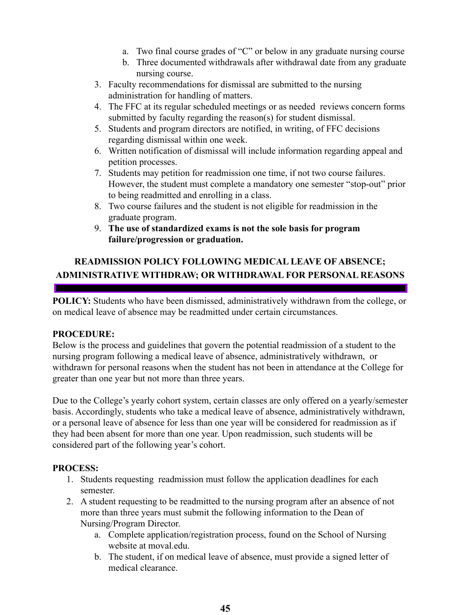- a. Two final course grades of "C" or below in any graduate nursing course
- b. Three documented withdrawals after withdrawal date from any graduate nursing course.
- 3. Faculty recommendations for dismissal are submitted to the nursing administration for handling of matters.
- 4. The FFC at its regular scheduled meetings or as needed reviews concern forms submitted by faculty regarding the reason(s) for student dismissal.
- 5. Students and program directors are notified, in writing, of FFC decisions regarding dismissal within one week.
- 6. Written notification of dismissal will include information regarding appeal and petition processes.
- 7. Students may petition for readmission one time, if not two course failures. However, the student must complete a mandatory one semester "stop-out" prior to being readmitted and enrolling in a class.
- 8. Two course failures and the student is not eligible for readmission in the graduate program.
- 9. **The use of standardized exams is not the sole basis for program failure/progression or graduation.**

# <span id="page-44-0"></span>**READMISSION POLICY FOLLOWING MEDICAL LEAVE OF ABSENCE; ADMINISTRATIVE WITHDRAW; OR WITHDRAWAL FOR PERSONAL REASONS**

**POLICY:** Students who have been dismissed, administratively withdrawn from the college, or on medical leave of absence may be readmitted under certain circumstances.

#### **PROCEDURE:**

Below is the process and guidelines that govern the potential readmission of a student to the nursing program following a medical leave of absence, administratively withdrawn, or withdrawn for personal reasons when the student has not been in attendance at the College for greater than one year but not more than three years.

Due to the College's yearly cohort system, certain classes are only offered on a yearly/semester basis. Accordingly, students who take a medical leave of absence, administratively withdrawn, or a personal leave of absence for less than one year will be considered for readmission as if they had been absent for more than one year. Upon readmission, such students will be considered part of the following year's cohort.

# **PROCESS:**

- 1. Students requesting readmission must follow the application deadlines for each semester.
- 2. A student requesting to be readmitted to the nursing program after an absence of not more than three years must submit the following information to the Dean of Nursing/Program Director.
	- a. Complete application/registration process, found on the School of Nursing website at moval.edu.
	- b. The student, if on medical leave of absence, must provide a signed letter of medical clearance.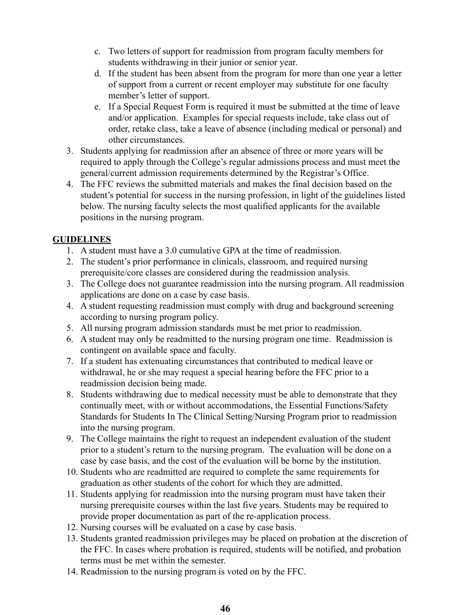- c. Two letters of support for readmission from program faculty members for students withdrawing in their junior or senior year.
- d. If the student has been absent from the program for more than one year a letter of support from a current or recent employer may substitute for one faculty member's letter of support.
- e. If a Special Request Form is required it must be submitted at the time of leave and/or application. Examples for special requests include, take class out of order, retake class, take a leave of absence (including medical or personal) and other circumstances.
- 3. Students applying for readmission after an absence of three or more years will be required to apply through the College's regular admissions process and must meet the general/current admission requirements determined by the Registrar's Office.
- 4. The FFC reviews the submitted materials and makes the final decision based on the student's potential for success in the nursing profession, in light of the guidelines listed below. The nursing faculty selects the most qualified applicants for the available positions in the nursing program.

# **GUIDELINES**

- 1. A student must have a 3.0 cumulative GPA at the time of readmission.
- 2. The student's prior performance in clinicals, classroom, and required nursing prerequisite/core classes are considered during the readmission analysis.
- 3. The College does not guarantee readmission into the nursing program. All readmission applications are done on a case by case basis.
- 4. A student requesting readmission must comply with drug and background screening according to nursing program policy.
- 5. All nursing program admission standards must be met prior to readmission.
- 6. A student may only be readmitted to the nursing program one time. Readmission is contingent on available space and faculty.
- 7. If a student has extenuating circumstances that contributed to medical leave or withdrawal, he or she may request a special hearing before the FFC prior to a readmission decision being made.
- 8. Students withdrawing due to medical necessity must be able to demonstrate that they continually meet, with or without accommodations, the Essential Functions/Safety Standards for Students In The Clinical Setting/Nursing Program prior to readmission into the nursing program.
- 9. The College maintains the right to request an independent evaluation of the student prior to a student's return to the nursing program. The evaluation will be done on a case by case basis, and the cost of the evaluation will be borne by the institution.
- 10. Students who are readmitted are required to complete the same requirements for graduation as other students of the cohort for which they are admitted.
- 11. Students applying for readmission into the nursing program must have taken their nursing prerequisite courses within the last five years. Students may be required to provide proper documentation as part of the re-application process.
- 12. Nursing courses will be evaluated on a case by case basis.
- 13. Students granted readmission privileges may be placed on probation at the discretion of the FFC. In cases where probation is required, students will be notified, and probation terms must be met within the semester.
- 14. Readmission to the nursing program is voted on by the FFC.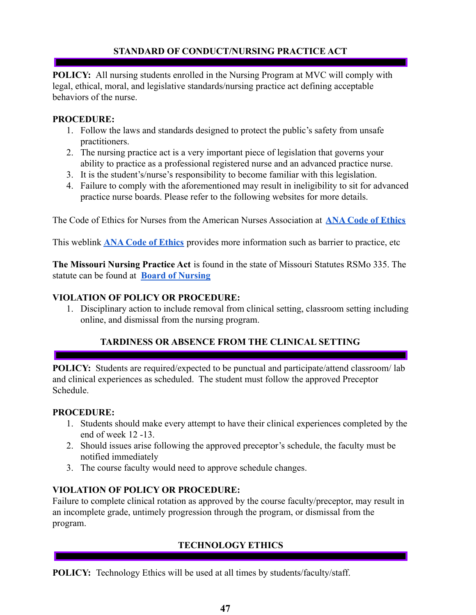# **STANDARD OF CONDUCT/NURSING PRACTICE ACT**

<span id="page-46-0"></span>**POLICY:** All nursing students enrolled in the Nursing Program at MVC will comply with legal, ethical, moral, and legislative standards/nursing practice act defining acceptable behaviors of the nurse.

#### **PROCEDURE:**

- 1. Follow the laws and standards designed to protect the public's safety from unsafe practitioners.
- 2. The nursing practice act is a very important piece of legislation that governs your ability to practice as a professional registered nurse and an advanced practice nurse.
- 3. It is the student's/nurse's responsibility to become familiar with this legislation.
- 4. Failure to comply with the aforementioned may result in ineligibility to sit for advanced practice nurse boards. Please refer to the following websites for more details.

The Code of Ethics for Nurses from the American Nurses Association at **[ANA Code of Ethics](https://nursing.rutgers.edu/wp-content/uploads/2019/06/ANA-Code-of-Ethics-for-Nurses.pdf)**

This weblink **[ANA Code of Ethics](http://www.nursingworld.org/MainMenuCategories/EthicsStandards/CodeofEthicsforNurses/Code-of-Ethics-For-Nurses.html)** provides more information such as barrier to practice, etc

**The Missouri Nursing Practice Act** is found in the state of Missouri Statutes RSMo 335. The statute can be found at **[Board of Nursing](http://pr.mo.gov/nursing-rules-statutes.asp)**

#### **VIOLATION OF POLICY OR PROCEDURE:**

1. Disciplinary action to include removal from clinical setting, classroom setting including online, and dismissal from the nursing program.

# **TARDINESS OR ABSENCE FROM THE CLINICAL SETTING**

<span id="page-46-1"></span>**POLICY:** Students are required/expected to be punctual and participate/attend classroom/lab and clinical experiences as scheduled. The student must follow the approved Preceptor Schedule.

#### **PROCEDURE:**

- 1. Students should make every attempt to have their clinical experiences completed by the end of week 12 -13.
- 2. Should issues arise following the approved preceptor's schedule, the faculty must be notified immediately
- 3. The course faculty would need to approve schedule changes.

#### **VIOLATION OF POLICY OR PROCEDURE:**

Failure to complete clinical rotation as approved by the course faculty/preceptor, may result in an incomplete grade, untimely progression through the program, or dismissal from the program.

# **TECHNOLOGY ETHICS**

**POLICY:** Technology Ethics will be used at all times by students/faculty/staff.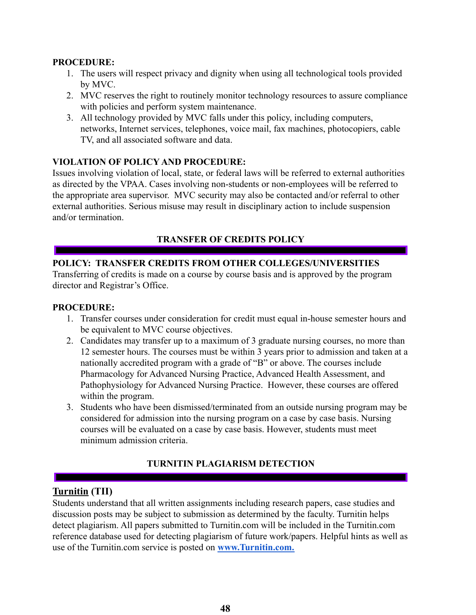#### **PROCEDURE:**

- 1. The users will respect privacy and dignity when using all technological tools provided by MVC.
- 2. MVC reserves the right to routinely monitor technology resources to assure compliance with policies and perform system maintenance.
- 3. All technology provided by MVC falls under this policy, including computers, networks, Internet services, telephones, voice mail, fax machines, photocopiers, cable TV, and all associated software and data.

## **VIOLATION OF POLICY AND PROCEDURE:**

Issues involving violation of local, state, or federal laws will be referred to external authorities as directed by the VPAA. Cases involving non-students or non-employees will be referred to the appropriate area supervisor. MVC security may also be contacted and/or referral to other external authorities. Serious misuse may result in disciplinary action to include suspension and/or termination.

# **TRANSFER OF CREDITS POLICY**

## <span id="page-47-0"></span>**POLICY: TRANSFER CREDITS FROM OTHER COLLEGES/UNIVERSITIES**

Transferring of credits is made on a course by course basis and is approved by the program director and Registrar's Office.

#### **PROCEDURE:**

- 1. Transfer courses under consideration for credit must equal in-house semester hours and be equivalent to MVC course objectives.
- 2. Candidates may transfer up to a maximum of 3 graduate nursing courses, no more than 12 semester hours. The courses must be within 3 years prior to admission and taken at a nationally accredited program with a grade of "B" or above. The courses include Pharmacology for Advanced Nursing Practice, Advanced Health Assessment, and Pathophysiology for Advanced Nursing Practice. However, these courses are offered within the program.
- 3. Students who have been dismissed/terminated from an outside nursing program may be considered for admission into the nursing program on a case by case basis. Nursing courses will be evaluated on a case by case basis. However, students must meet minimum admission criteria.

# **TURNITIN PLAGIARISM DETECTION**

# <span id="page-47-1"></span>**Turnitin (TII)**

Students understand that all written assignments including research papers, case studies and discussion posts may be subject to submission as determined by the faculty. Turnitin helps detect plagiarism. All papers submitted to Turnitin.com will be included in the Turnitin.com reference database used for detecting plagi[ar](http://www.turnitin.com/)ism of future work/papers. Helpful hints as well as use of the Turnitin.com service is posted on **[www.Turnitin.com.](http://www.turnitin.com)**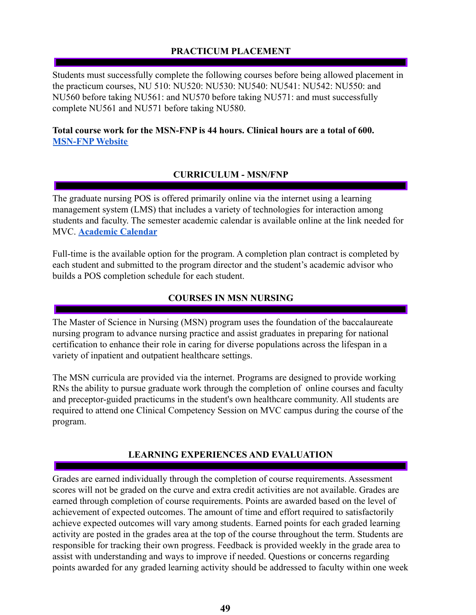# **PRACTICUM PLACEMENT**

<span id="page-48-0"></span>Students must successfully complete the following courses before being allowed placement in the practicum courses, NU 510: NU520: NU530: NU540: NU541: NU542: NU550: and NU560 before taking NU561: and NU570 before taking NU571: and must successfully complete NU561 and NU571 before taking NU580.

#### **Total course work for the MSN-FNP is 44 hours. Clinical hours are a total of 600. [MSN-FNP](https://www.moval.edu/academics/academic-divisions/school-of-nursing/master-of-science-in-nursing/) Website**

#### **CURRICULUM - MSN/FNP**

<span id="page-48-1"></span>The graduate nursing POS is offered primarily online via the internet using a learning management system (LMS) that includes a variety of technologies for interaction among students and faculty. The semester academic calendar is available online at the link needed for MVC. **[Academic Calendar](https://www.moval.edu/academics/academic-calendar/)**

Full-time is the available option for the program. A completion plan contract is completed by each student and submitted to the program director and the student's academic advisor who builds a POS completion schedule for each student.

#### **COURSES IN MSN NURSING**

<span id="page-48-2"></span>The Master of Science in Nursing (MSN) program uses the foundation of the baccalaureate nursing program to advance nursing practice and assist graduates in preparing for national certification to enhance their role in caring for diverse populations across the lifespan in a variety of inpatient and outpatient healthcare settings.

The MSN curricula are provided via the internet. Programs are designed to provide working RNs the ability to pursue graduate work through the completion of online courses and faculty and preceptor-guided practicums in the student's own healthcare community. All students are required to attend one Clinical Competency Session on MVC campus during the course of the program.

# **LEARNING EXPERIENCES AND EVALUATION**

<span id="page-48-3"></span>Grades are earned individually through the completion of course requirements. Assessment scores will not be graded on the curve and extra credit activities are not available. Grades are earned through completion of course requirements. Points are awarded based on the level of achievement of expected outcomes. The amount of time and effort required to satisfactorily achieve expected outcomes will vary among students. Earned points for each graded learning activity are posted in the grades area at the top of the course throughout the term. Students are responsible for tracking their own progress. Feedback is provided weekly in the grade area to assist with understanding and ways to improve if needed. Questions or concerns regarding points awarded for any graded learning activity should be addressed to faculty within one week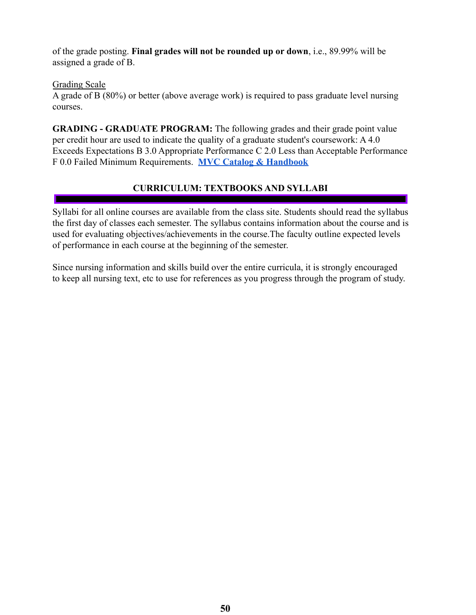of the grade posting. **Final grades will not be rounded up or down**, i.e., 89.99% will be assigned a grade of B.

Grading Scale

A grade of B (80%) or better (above average work) is required to pass graduate level nursing courses.

**GRADING - GRADUATE PROGRAM:** The following grades and their grade point value per credit hour are used to indicate the quality of a graduate student's coursework: A 4.0 Exceeds Expectations B 3.0 Appropriate Performance C 2.0 Less than Acceptable Performance F 0.0 Failed Minimum Requirements. **[MVC Catalog &](https://www.moval.edu/academics/academic-catalog/) Handbook**

# **CURRICULUM: TEXTBOOKS AND SYLLABI**

<span id="page-49-0"></span>Syllabi for all online courses are available from the class site. Students should read the syllabus the first day of classes each semester. The syllabus contains information about the course and is used for evaluating objectives/achievements in the course.The faculty outline expected levels of performance in each course at the beginning of the semester.

Since nursing information and skills build over the entire curricula, it is strongly encouraged to keep all nursing text, etc to use for references as you progress through the program of study.